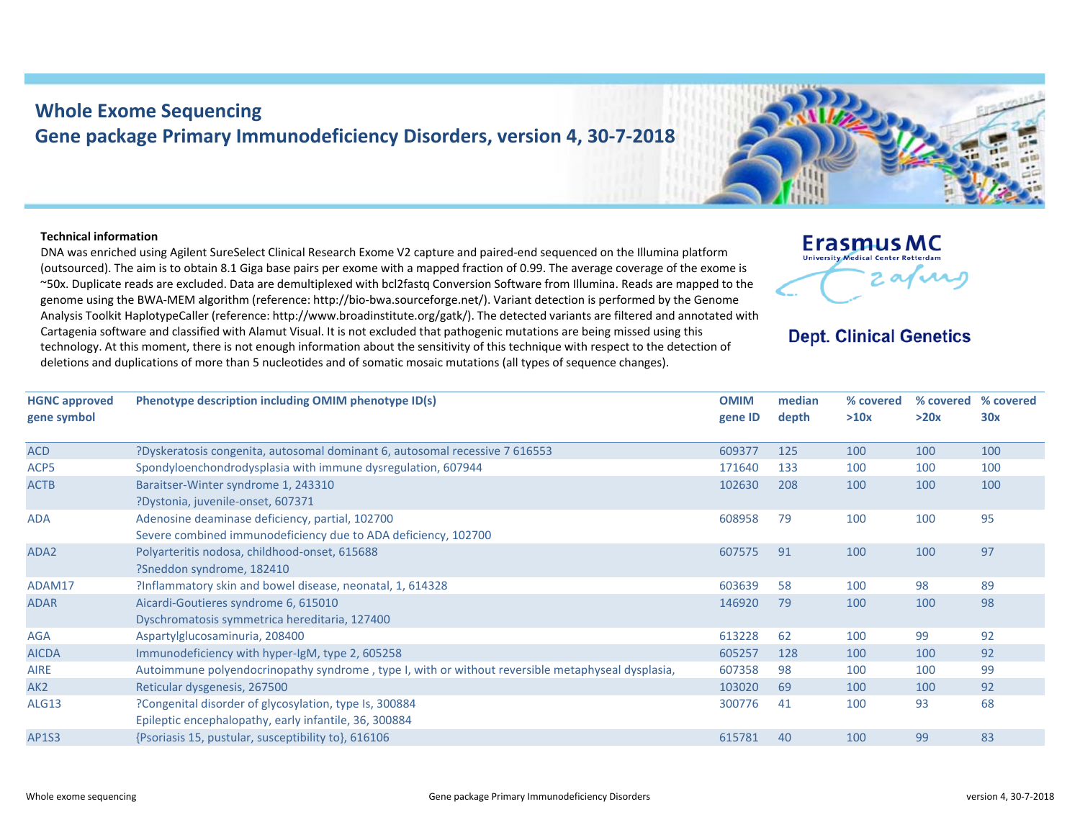## **Whole Exome Sequencing Gene package Primary Immunodeficiency Disorders, version 4, 30‐7‐2018**

## **Technical information**

DNA was enriched using Agilent SureSelect Clinical Research Exome V2 capture and paired‐end sequenced on the Illumina platform (outsourced). The aim is to obtain 8.1 Giga base pairs per exome with <sup>a</sup> mapped fraction of 0.99. The average coverage of the exome is ~50x. Duplicate reads are excluded. Data are demultiplexed with bcl2fastq Conversion Software from Illumina. Reads are mapped to the genome using the BWA‐MEM algorithm (reference: http://bio‐bwa.sourceforge.net/). Variant detection is performed by the Genome Analysis Toolkit HaplotypeCaller (reference: http://www.broadinstitute.org/gatk/). The detected variants are filtered and annotated with Cartagenia software and classified with Alamut Visual. It is not excluded that pathogenic mutations are being missed using this technology. At this moment, there is not enough information about the sensitivity of this technique with respect to the detection of deletions and duplications of more than 5 nucleotides and of somatic mosaic mutations (all types of sequence changes).



## **Dept. Clinical Genetics**

| <b>HGNC approved</b><br>gene symbol | Phenotype description including OMIM phenotype ID(s)                                                              | <b>OMIM</b><br>gene ID | median<br>depth | % covered<br>>10x | % covered<br>>20x | % covered<br>30x |
|-------------------------------------|-------------------------------------------------------------------------------------------------------------------|------------------------|-----------------|-------------------|-------------------|------------------|
| <b>ACD</b>                          | ?Dyskeratosis congenita, autosomal dominant 6, autosomal recessive 7 616553                                       | 609377                 | 125             | 100               | 100               | 100              |
| ACP5                                | Spondyloenchondrodysplasia with immune dysregulation, 607944                                                      | 171640                 | 133             | 100               | 100               | 100              |
| <b>ACTB</b>                         | Baraitser-Winter syndrome 1, 243310<br>?Dystonia, juvenile-onset, 607371                                          | 102630                 | 208             | 100               | 100               | 100              |
| <b>ADA</b>                          | Adenosine deaminase deficiency, partial, 102700<br>Severe combined immunodeficiency due to ADA deficiency, 102700 | 608958                 | 79              | 100               | 100               | 95               |
| ADA <sub>2</sub>                    | Polyarteritis nodosa, childhood-onset, 615688<br>?Sneddon syndrome, 182410                                        | 607575                 | 91              | 100               | 100               | 97               |
| ADAM17                              | ?Inflammatory skin and bowel disease, neonatal, 1, 614328                                                         | 603639                 | 58              | 100               | 98                | 89               |
| <b>ADAR</b>                         | Aicardi-Goutieres syndrome 6, 615010<br>Dyschromatosis symmetrica hereditaria, 127400                             | 146920                 | 79              | 100               | 100               | 98               |
| <b>AGA</b>                          | Aspartylglucosaminuria, 208400                                                                                    | 613228                 | 62              | 100               | 99                | 92               |
| <b>AICDA</b>                        | Immunodeficiency with hyper-IgM, type 2, 605258                                                                   | 605257                 | 128             | 100               | 100               | 92               |
| <b>AIRE</b>                         | Autoimmune polyendocrinopathy syndrome, type I, with or without reversible metaphyseal dysplasia,                 | 607358                 | 98              | 100               | 100               | 99               |
| AK <sub>2</sub>                     | Reticular dysgenesis, 267500                                                                                      | 103020                 | 69              | 100               | 100               | 92               |
| ALG13                               | ?Congenital disorder of glycosylation, type Is, 300884<br>Epileptic encephalopathy, early infantile, 36, 300884   | 300776                 | 41              | 100               | 93                | 68               |
| <b>AP1S3</b>                        | {Psoriasis 15, pustular, susceptibility to}, 616106                                                               | 615781                 | 40              | 100               | 99                | 83               |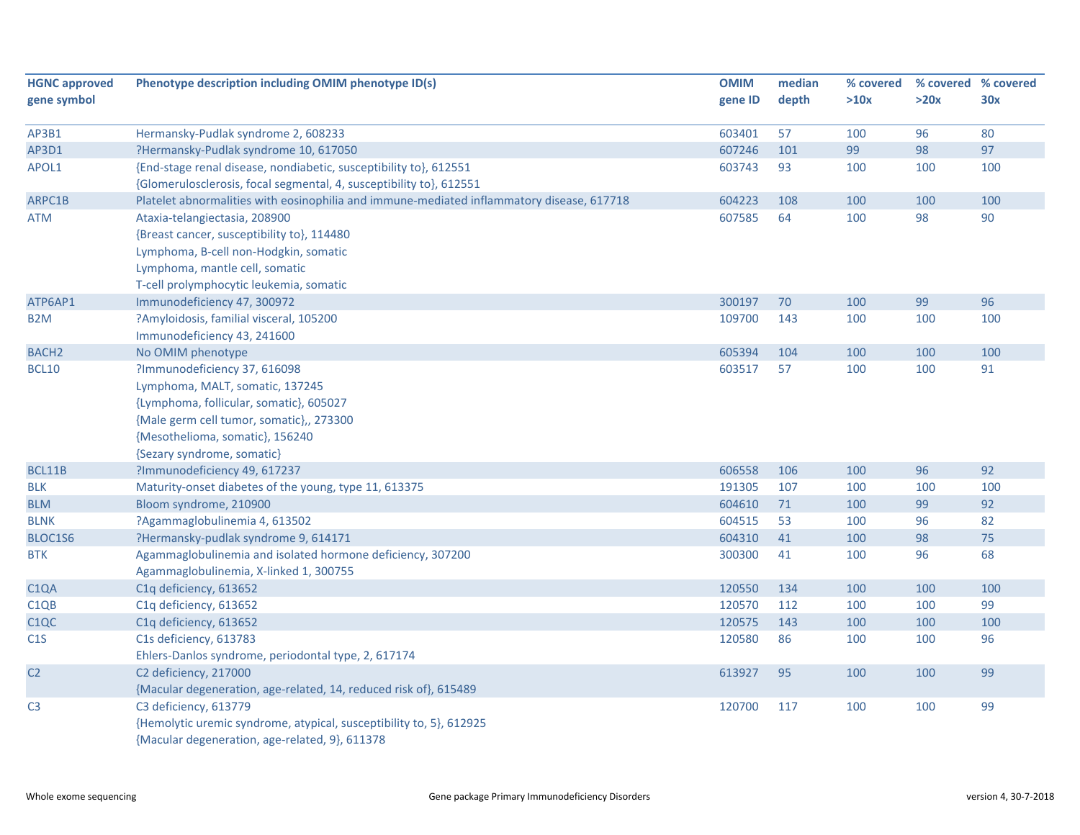| <b>HGNC approved</b>          | Phenotype description including OMIM phenotype ID(s)                                      | <b>OMIM</b> | median | % covered |      | % covered % covered |
|-------------------------------|-------------------------------------------------------------------------------------------|-------------|--------|-----------|------|---------------------|
| gene symbol                   |                                                                                           | gene ID     | depth  | >10x      | >20x | 30x                 |
|                               |                                                                                           |             |        |           |      |                     |
| AP3B1                         | Hermansky-Pudlak syndrome 2, 608233                                                       | 603401      | 57     | 100       | 96   | 80                  |
| AP3D1                         | ?Hermansky-Pudlak syndrome 10, 617050                                                     | 607246      | 101    | 99        | 98   | 97                  |
| APOL1                         | {End-stage renal disease, nondiabetic, susceptibility to}, 612551                         | 603743      | 93     | 100       | 100  | 100                 |
|                               | {Glomerulosclerosis, focal segmental, 4, susceptibility to}, 612551                       |             |        |           |      |                     |
| ARPC1B                        | Platelet abnormalities with eosinophilia and immune-mediated inflammatory disease, 617718 | 604223      | 108    | 100       | 100  | 100                 |
| <b>ATM</b>                    | Ataxia-telangiectasia, 208900                                                             | 607585      | 64     | 100       | 98   | 90                  |
|                               | {Breast cancer, susceptibility to}, 114480                                                |             |        |           |      |                     |
|                               | Lymphoma, B-cell non-Hodgkin, somatic                                                     |             |        |           |      |                     |
|                               | Lymphoma, mantle cell, somatic                                                            |             |        |           |      |                     |
|                               | T-cell prolymphocytic leukemia, somatic                                                   |             |        |           |      |                     |
| ATP6AP1                       | Immunodeficiency 47, 300972                                                               | 300197      | 70     | 100       | 99   | 96                  |
| B <sub>2</sub> M              | ?Amyloidosis, familial visceral, 105200                                                   | 109700      | 143    | 100       | 100  | 100                 |
|                               | Immunodeficiency 43, 241600                                                               |             |        |           |      |                     |
| <b>BACH2</b>                  | No OMIM phenotype                                                                         | 605394      | 104    | 100       | 100  | 100                 |
| <b>BCL10</b>                  | ?Immunodeficiency 37, 616098                                                              | 603517      | 57     | 100       | 100  | 91                  |
|                               | Lymphoma, MALT, somatic, 137245                                                           |             |        |           |      |                     |
|                               | {Lymphoma, follicular, somatic}, 605027                                                   |             |        |           |      |                     |
|                               | {Male germ cell tumor, somatic},, 273300                                                  |             |        |           |      |                     |
|                               | {Mesothelioma, somatic}, 156240                                                           |             |        |           |      |                     |
|                               | {Sezary syndrome, somatic}                                                                |             |        |           |      |                     |
| BCL11B                        | ?Immunodeficiency 49, 617237                                                              | 606558      | 106    | 100       | 96   | 92                  |
| <b>BLK</b>                    | Maturity-onset diabetes of the young, type 11, 613375                                     | 191305      | 107    | 100       | 100  | 100                 |
| <b>BLM</b>                    | Bloom syndrome, 210900                                                                    | 604610      | 71     | 100       | 99   | 92                  |
| <b>BLNK</b>                   | ?Agammaglobulinemia 4, 613502                                                             | 604515      | 53     | 100       | 96   | 82                  |
| BLOC1S6                       | ?Hermansky-pudlak syndrome 9, 614171                                                      | 604310      | 41     | 100       | 98   | 75                  |
| <b>BTK</b>                    | Agammaglobulinemia and isolated hormone deficiency, 307200                                | 300300      | 41     | 100       | 96   | 68                  |
|                               | Agammaglobulinemia, X-linked 1, 300755                                                    |             |        |           |      |                     |
| C <sub>1</sub> QA             | C1q deficiency, 613652                                                                    | 120550      | 134    | 100       | 100  | 100                 |
| C <sub>1</sub> Q <sub>B</sub> | C1q deficiency, 613652                                                                    | 120570      | 112    | 100       | 100  | 99                  |
| C <sub>1QC</sub>              | C1q deficiency, 613652                                                                    | 120575      | 143    | 100       | 100  | 100                 |
| C1S                           | C1s deficiency, 613783                                                                    | 120580      | 86     | 100       | 100  | 96                  |
|                               | Ehlers-Danlos syndrome, periodontal type, 2, 617174                                       |             |        |           |      |                     |
| C <sub>2</sub>                | C2 deficiency, 217000                                                                     | 613927      | 95     | 100       | 100  | 99                  |
|                               | {Macular degeneration, age-related, 14, reduced risk of}, 615489                          |             |        |           |      |                     |
| C <sub>3</sub>                | C3 deficiency, 613779                                                                     | 120700      | 117    | 100       | 100  | 99                  |
|                               | {Hemolytic uremic syndrome, atypical, susceptibility to, 5}, 612925                       |             |        |           |      |                     |
|                               | {Macular degeneration, age-related, 9}, 611378                                            |             |        |           |      |                     |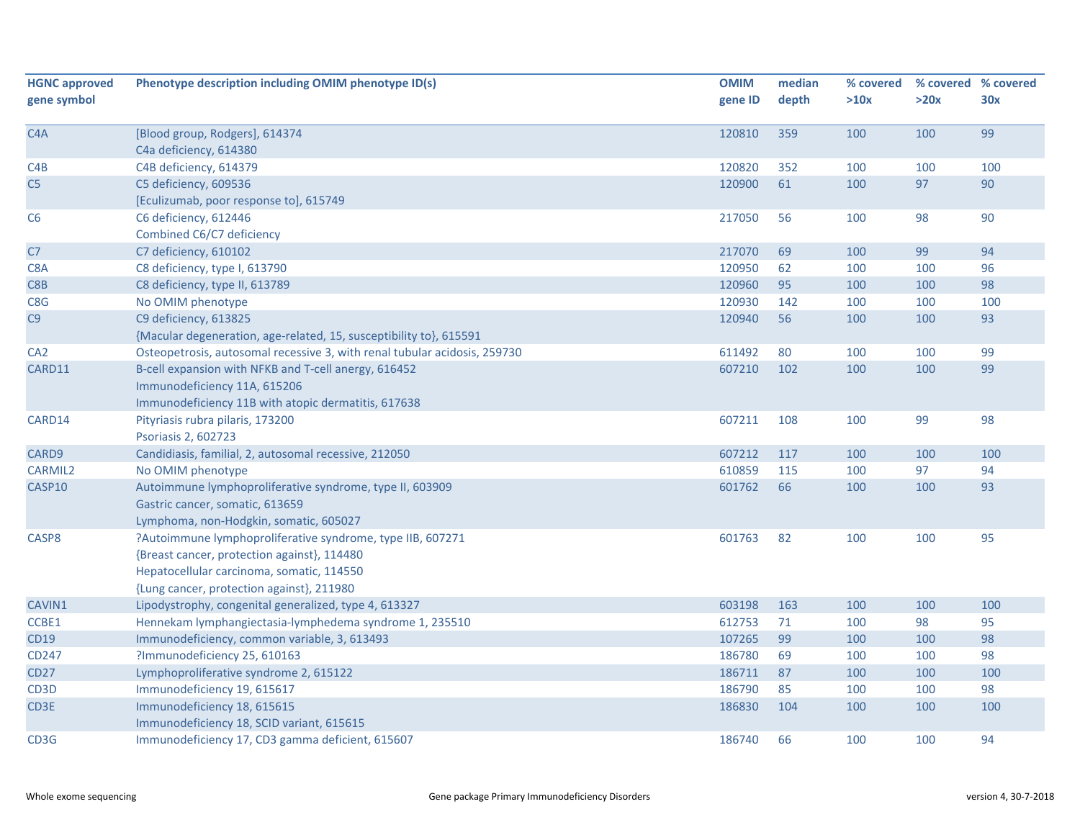| <b>HGNC approved</b> | Phenotype description including OMIM phenotype ID(s)                      | <b>OMIM</b> | median | % covered |      | % covered % covered |
|----------------------|---------------------------------------------------------------------------|-------------|--------|-----------|------|---------------------|
| gene symbol          |                                                                           | gene ID     | depth  | >10x      | >20x | 30x                 |
|                      |                                                                           |             |        |           |      |                     |
| C <sub>4</sub> A     | [Blood group, Rodgers], 614374                                            | 120810      | 359    | 100       | 100  | 99                  |
|                      | C4a deficiency, 614380                                                    |             |        |           |      |                     |
| C4B                  | C4B deficiency, 614379                                                    | 120820      | 352    | 100       | 100  | 100                 |
| C <sub>5</sub>       | C5 deficiency, 609536                                                     | 120900      | 61     | 100       | 97   | 90                  |
|                      | [Eculizumab, poor response to], 615749                                    |             |        |           |      |                     |
| C <sub>6</sub>       | C6 deficiency, 612446                                                     | 217050      | 56     | 100       | 98   | 90                  |
|                      | Combined C6/C7 deficiency                                                 |             |        |           |      |                     |
| C7                   | C7 deficiency, 610102                                                     | 217070      | 69     | 100       | 99   | 94                  |
| C8A                  | C8 deficiency, type I, 613790                                             | 120950      | 62     | 100       | 100  | 96                  |
| C8B                  | C8 deficiency, type II, 613789                                            | 120960      | 95     | 100       | 100  | 98                  |
| C8G                  | No OMIM phenotype                                                         | 120930      | 142    | 100       | 100  | 100                 |
| C9                   | C9 deficiency, 613825                                                     | 120940      | 56     | 100       | 100  | 93                  |
|                      | {Macular degeneration, age-related, 15, susceptibility to}, 615591        |             |        |           |      |                     |
| CA <sub>2</sub>      | Osteopetrosis, autosomal recessive 3, with renal tubular acidosis, 259730 | 611492      | 80     | 100       | 100  | 99                  |
| CARD11               | B-cell expansion with NFKB and T-cell anergy, 616452                      | 607210      | 102    | 100       | 100  | 99                  |
|                      | Immunodeficiency 11A, 615206                                              |             |        |           |      |                     |
|                      | Immunodeficiency 11B with atopic dermatitis, 617638                       |             |        |           |      |                     |
| CARD14               | Pityriasis rubra pilaris, 173200                                          | 607211      | 108    | 100       | 99   | 98                  |
|                      | Psoriasis 2, 602723                                                       |             |        |           |      |                     |
| CARD9                | Candidiasis, familial, 2, autosomal recessive, 212050                     | 607212      | 117    | 100       | 100  | 100                 |
| <b>CARMIL2</b>       | No OMIM phenotype                                                         | 610859      | 115    | 100       | 97   | 94                  |
| CASP10               | Autoimmune lymphoproliferative syndrome, type II, 603909                  | 601762      | 66     | 100       | 100  | 93                  |
|                      | Gastric cancer, somatic, 613659                                           |             |        |           |      |                     |
|                      | Lymphoma, non-Hodgkin, somatic, 605027                                    |             |        |           |      |                     |
| CASP8                | ?Autoimmune lymphoproliferative syndrome, type IIB, 607271                | 601763      | 82     | 100       | 100  | 95                  |
|                      | {Breast cancer, protection against}, 114480                               |             |        |           |      |                     |
|                      | Hepatocellular carcinoma, somatic, 114550                                 |             |        |           |      |                     |
|                      | {Lung cancer, protection against}, 211980                                 |             |        |           |      |                     |
| CAVIN1               | Lipodystrophy, congenital generalized, type 4, 613327                     | 603198      | 163    | 100       | 100  | 100                 |
| CCBE1                | Hennekam lymphangiectasia-lymphedema syndrome 1, 235510                   | 612753      | 71     | 100       | 98   | 95                  |
| CD19                 | Immunodeficiency, common variable, 3, 613493                              | 107265      | 99     | 100       | 100  | 98                  |
| CD247                | ?Immunodeficiency 25, 610163                                              | 186780      | 69     | 100       | 100  | 98                  |
| <b>CD27</b>          | Lymphoproliferative syndrome 2, 615122                                    | 186711      | 87     | 100       | 100  | 100                 |
| CD3D                 | Immunodeficiency 19, 615617                                               | 186790      | 85     | 100       | 100  | 98                  |
| CD3E                 | Immunodeficiency 18, 615615                                               | 186830      | 104    | 100       | 100  | 100                 |
|                      | Immunodeficiency 18, SCID variant, 615615                                 |             |        |           |      |                     |
| CD3G                 | Immunodeficiency 17, CD3 gamma deficient, 615607                          | 186740      | 66     | 100       | 100  | 94                  |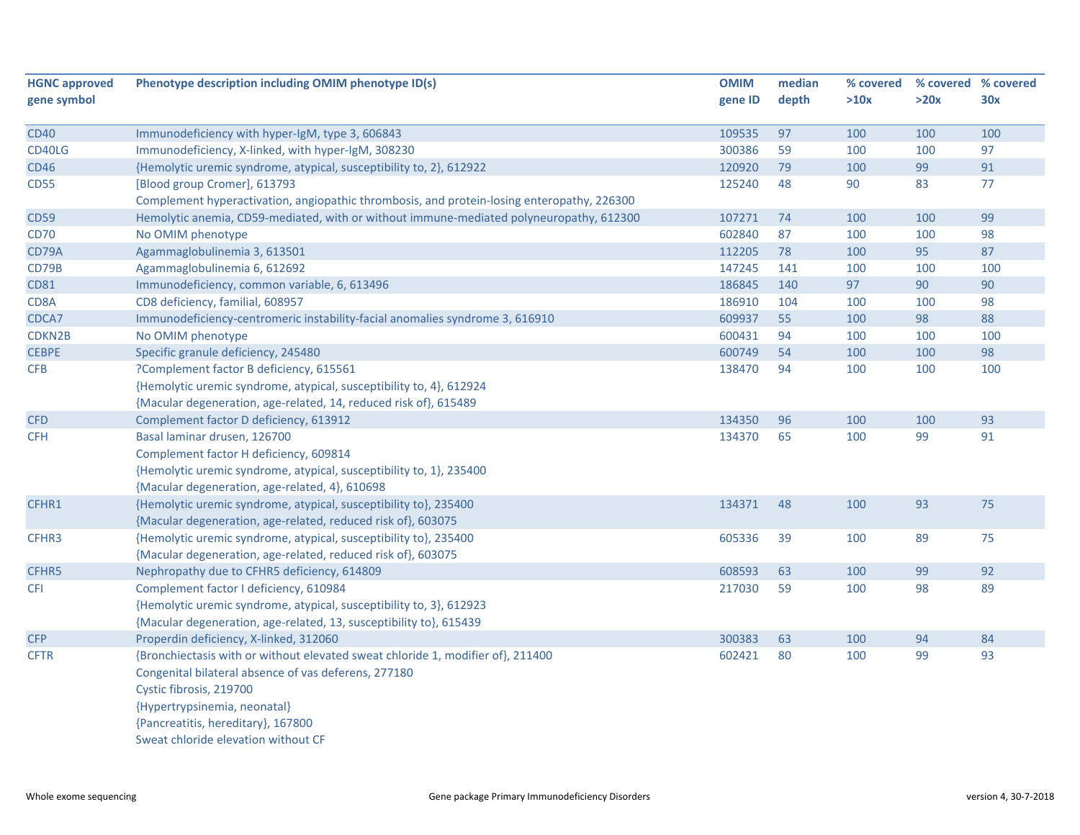| <b>HGNC approved</b> | Phenotype description including OMIM phenotype ID(s)                                       | <b>OMIM</b> | median | % covered |      | % covered % covered |
|----------------------|--------------------------------------------------------------------------------------------|-------------|--------|-----------|------|---------------------|
| gene symbol          |                                                                                            | gene ID     | depth  | >10x      | >20x | 30x                 |
| <b>CD40</b>          | Immunodeficiency with hyper-IgM, type 3, 606843                                            | 109535      | 97     | 100       | 100  | 100                 |
| CD40LG               | Immunodeficiency, X-linked, with hyper-IgM, 308230                                         | 300386      | 59     | 100       | 100  | 97                  |
| <b>CD46</b>          | {Hemolytic uremic syndrome, atypical, susceptibility to, 2}, 612922                        | 120920      | 79     | 100       | 99   | 91                  |
| <b>CD55</b>          | [Blood group Cromer], 613793                                                               | 125240      | 48     | 90        | 83   | 77                  |
|                      | Complement hyperactivation, angiopathic thrombosis, and protein-losing enteropathy, 226300 |             |        |           |      |                     |
| <b>CD59</b>          | Hemolytic anemia, CD59-mediated, with or without immune-mediated polyneuropathy, 612300    | 107271      | 74     | 100       | 100  | 99                  |
| <b>CD70</b>          | No OMIM phenotype                                                                          | 602840      | 87     | 100       | 100  | 98                  |
| CD79A                | Agammaglobulinemia 3, 613501                                                               | 112205      | 78     | 100       | 95   | 87                  |
| CD79B                | Agammaglobulinemia 6, 612692                                                               | 147245      | 141    | 100       | 100  | 100                 |
| <b>CD81</b>          | Immunodeficiency, common variable, 6, 613496                                               | 186845      | 140    | 97        | 90   | 90                  |
| CD8A                 | CD8 deficiency, familial, 608957                                                           | 186910      | 104    | 100       | 100  | 98                  |
| CDCA7                | Immunodeficiency-centromeric instability-facial anomalies syndrome 3, 616910               | 609937      | 55     | 100       | 98   | 88                  |
| CDKN2B               | No OMIM phenotype                                                                          | 600431      | 94     | 100       | 100  | 100                 |
| <b>CEBPE</b>         | Specific granule deficiency, 245480                                                        | 600749      | 54     | 100       | 100  | 98                  |
| CFB                  | ?Complement factor B deficiency, 615561                                                    | 138470      | 94     | 100       | 100  | 100                 |
|                      | {Hemolytic uremic syndrome, atypical, susceptibility to, 4}, 612924                        |             |        |           |      |                     |
|                      | {Macular degeneration, age-related, 14, reduced risk of}, 615489                           |             |        |           |      |                     |
| <b>CFD</b>           | Complement factor D deficiency, 613912                                                     | 134350      | 96     | 100       | 100  | 93                  |
| <b>CFH</b>           | Basal laminar drusen, 126700                                                               | 134370      | 65     | 100       | 99   | 91                  |
|                      | Complement factor H deficiency, 609814                                                     |             |        |           |      |                     |
|                      | {Hemolytic uremic syndrome, atypical, susceptibility to, 1}, 235400                        |             |        |           |      |                     |
|                      | {Macular degeneration, age-related, 4}, 610698                                             |             |        |           |      |                     |
| CFHR1                | {Hemolytic uremic syndrome, atypical, susceptibility to}, 235400                           | 134371      | 48     | 100       | 93   | 75                  |
|                      | {Macular degeneration, age-related, reduced risk of}, 603075                               |             |        |           |      |                     |
| CFHR3                | {Hemolytic uremic syndrome, atypical, susceptibility to}, 235400                           | 605336      | 39     | 100       | 89   | 75                  |
|                      | {Macular degeneration, age-related, reduced risk of}, 603075                               |             |        |           |      |                     |
| CFHR5                | Nephropathy due to CFHR5 deficiency, 614809                                                | 608593      | 63     | 100       | 99   | 92                  |
| <b>CFI</b>           | Complement factor I deficiency, 610984                                                     | 217030      | 59     | 100       | 98   | 89                  |
|                      | {Hemolytic uremic syndrome, atypical, susceptibility to, 3}, 612923                        |             |        |           |      |                     |
|                      | {Macular degeneration, age-related, 13, susceptibility to}, 615439                         |             |        |           |      |                     |
| <b>CFP</b>           | Properdin deficiency, X-linked, 312060                                                     | 300383      | 63     | 100       | 94   | 84                  |
| <b>CFTR</b>          | {Bronchiectasis with or without elevated sweat chloride 1, modifier of}, 211400            | 602421      | 80     | 100       | 99   | 93                  |
|                      | Congenital bilateral absence of vas deferens, 277180                                       |             |        |           |      |                     |
|                      | Cystic fibrosis, 219700                                                                    |             |        |           |      |                     |
|                      | {Hypertrypsinemia, neonatal}                                                               |             |        |           |      |                     |
|                      | {Pancreatitis, hereditary}, 167800                                                         |             |        |           |      |                     |
|                      | Sweat chloride elevation without CF                                                        |             |        |           |      |                     |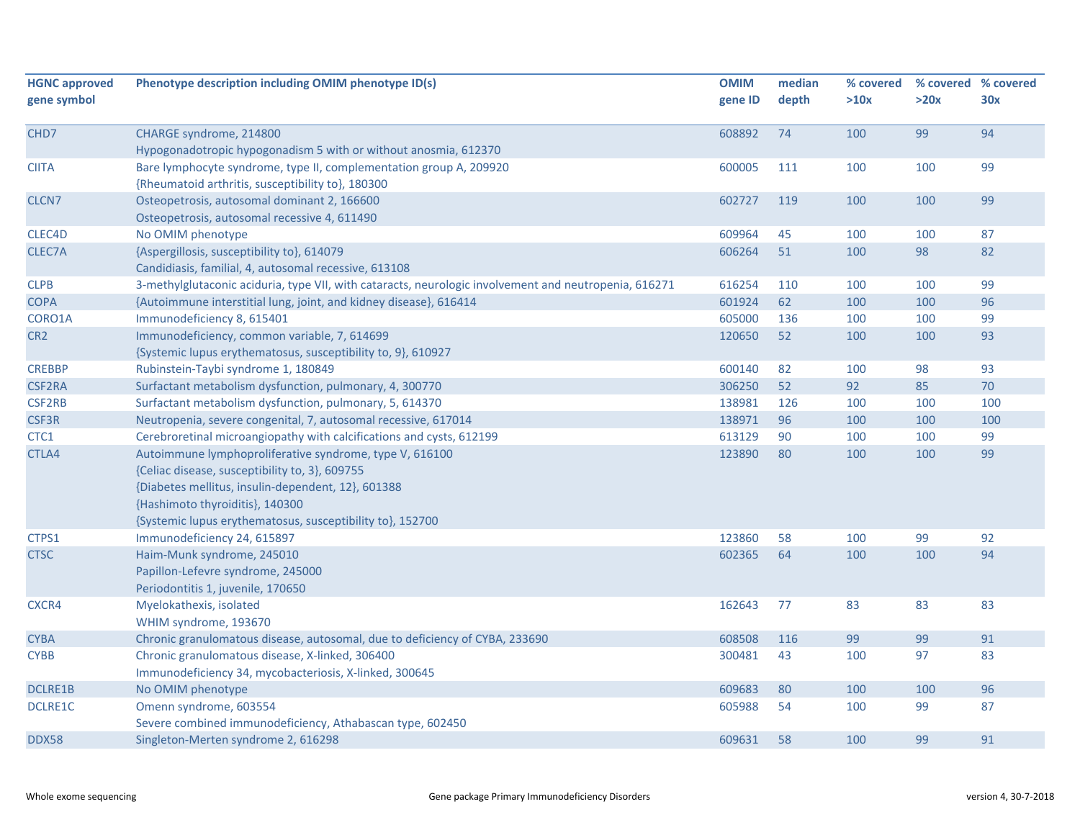| <b>HGNC approved</b> | Phenotype description including OMIM phenotype ID(s)                                                  | <b>OMIM</b> | median | % covered | % covered % covered |     |
|----------------------|-------------------------------------------------------------------------------------------------------|-------------|--------|-----------|---------------------|-----|
| gene symbol          |                                                                                                       | gene ID     | depth  | >10x      | >20x                | 30x |
|                      |                                                                                                       |             |        |           |                     |     |
| CHD7                 | CHARGE syndrome, 214800                                                                               | 608892      | 74     | 100       | 99                  | 94  |
|                      | Hypogonadotropic hypogonadism 5 with or without anosmia, 612370                                       |             |        |           |                     |     |
| CIITA                | Bare lymphocyte syndrome, type II, complementation group A, 209920                                    | 600005      | 111    | 100       | 100                 | 99  |
|                      | {Rheumatoid arthritis, susceptibility to}, 180300                                                     |             |        |           |                     |     |
| CLCN <sub>7</sub>    | Osteopetrosis, autosomal dominant 2, 166600                                                           | 602727      | 119    | 100       | 100                 | 99  |
|                      | Osteopetrosis, autosomal recessive 4, 611490                                                          |             |        |           |                     |     |
| CLEC4D               | No OMIM phenotype                                                                                     | 609964      | 45     | 100       | 100                 | 87  |
| CLEC7A               | {Aspergillosis, susceptibility to}, 614079                                                            | 606264      | 51     | 100       | 98                  | 82  |
|                      | Candidiasis, familial, 4, autosomal recessive, 613108                                                 |             |        |           |                     |     |
| <b>CLPB</b>          | 3-methylglutaconic aciduria, type VII, with cataracts, neurologic involvement and neutropenia, 616271 | 616254      | 110    | 100       | 100                 | 99  |
| <b>COPA</b>          | {Autoimmune interstitial lung, joint, and kidney disease}, 616414                                     | 601924      | 62     | 100       | 100                 | 96  |
| CORO1A               | Immunodeficiency 8, 615401                                                                            | 605000      | 136    | 100       | 100                 | 99  |
| CR <sub>2</sub>      | Immunodeficiency, common variable, 7, 614699                                                          | 120650      | 52     | 100       | 100                 | 93  |
|                      | {Systemic lupus erythematosus, susceptibility to, 9}, 610927                                          |             |        |           |                     |     |
| <b>CREBBP</b>        | Rubinstein-Taybi syndrome 1, 180849                                                                   | 600140      | 82     | 100       | 98                  | 93  |
| <b>CSF2RA</b>        | Surfactant metabolism dysfunction, pulmonary, 4, 300770                                               | 306250      | 52     | 92        | 85                  | 70  |
| <b>CSF2RB</b>        | Surfactant metabolism dysfunction, pulmonary, 5, 614370                                               | 138981      | 126    | 100       | 100                 | 100 |
| CSF3R                | Neutropenia, severe congenital, 7, autosomal recessive, 617014                                        | 138971      | 96     | 100       | 100                 | 100 |
| CTC1                 | Cerebroretinal microangiopathy with calcifications and cysts, 612199                                  | 613129      | 90     | 100       | 100                 | 99  |
| CTLA4                | Autoimmune lymphoproliferative syndrome, type V, 616100                                               | 123890      | 80     | 100       | 100                 | 99  |
|                      | {Celiac disease, susceptibility to, 3}, 609755                                                        |             |        |           |                     |     |
|                      | {Diabetes mellitus, insulin-dependent, 12}, 601388                                                    |             |        |           |                     |     |
|                      | {Hashimoto thyroiditis}, 140300                                                                       |             |        |           |                     |     |
|                      | {Systemic lupus erythematosus, susceptibility to}, 152700                                             |             |        |           |                     |     |
| CTPS1                | Immunodeficiency 24, 615897                                                                           | 123860      | 58     | 100       | 99                  | 92  |
| <b>CTSC</b>          | Haim-Munk syndrome, 245010                                                                            | 602365      | 64     | 100       | 100                 | 94  |
|                      | Papillon-Lefevre syndrome, 245000                                                                     |             |        |           |                     |     |
|                      | Periodontitis 1, juvenile, 170650                                                                     |             |        |           |                     |     |
| CXCR4                | Myelokathexis, isolated                                                                               | 162643      | 77     | 83        | 83                  | 83  |
|                      | WHIM syndrome, 193670                                                                                 |             |        |           |                     |     |
| <b>CYBA</b>          | Chronic granulomatous disease, autosomal, due to deficiency of CYBA, 233690                           | 608508      | 116    | 99        | 99                  | 91  |
| <b>CYBB</b>          | Chronic granulomatous disease, X-linked, 306400                                                       | 300481      | 43     | 100       | 97                  | 83  |
|                      | Immunodeficiency 34, mycobacteriosis, X-linked, 300645                                                |             |        |           |                     |     |
| <b>DCLRE1B</b>       | No OMIM phenotype                                                                                     | 609683      | 80     | 100       | 100                 | 96  |
| DCLRE1C              | Omenn syndrome, 603554                                                                                | 605988      | 54     | 100       | 99                  | 87  |
|                      | Severe combined immunodeficiency, Athabascan type, 602450                                             |             |        |           |                     |     |
| DDX58                | Singleton-Merten syndrome 2, 616298                                                                   | 609631      | 58     | 100       | 99                  | 91  |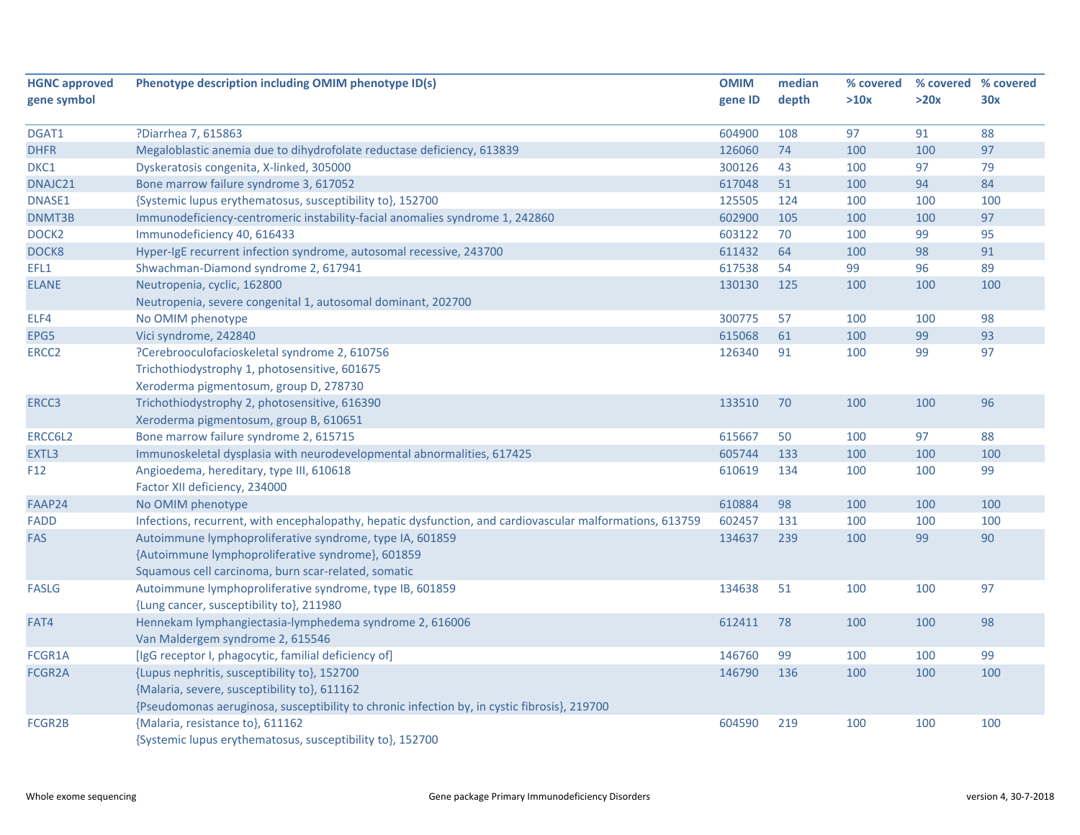| <b>HGNC approved</b> | Phenotype description including OMIM phenotype ID(s)                                                      | <b>OMIM</b> | median | % covered |      | % covered % covered |
|----------------------|-----------------------------------------------------------------------------------------------------------|-------------|--------|-----------|------|---------------------|
| gene symbol          |                                                                                                           | gene ID     | depth  | >10x      | >20x | 30x                 |
| DGAT1                | ?Diarrhea 7, 615863                                                                                       | 604900      | 108    | 97        | 91   | 88                  |
| <b>DHFR</b>          | Megaloblastic anemia due to dihydrofolate reductase deficiency, 613839                                    | 126060      | 74     | 100       | 100  | 97                  |
| DKC1                 | Dyskeratosis congenita, X-linked, 305000                                                                  | 300126      | 43     | 100       | 97   | 79                  |
| DNAJC21              | Bone marrow failure syndrome 3, 617052                                                                    | 617048      | 51     | 100       | 94   | 84                  |
| DNASE1               | {Systemic lupus erythematosus, susceptibility to}, 152700                                                 | 125505      | 124    | 100       | 100  | 100                 |
| DNMT3B               | Immunodeficiency-centromeric instability-facial anomalies syndrome 1, 242860                              | 602900      | 105    | 100       | 100  | 97                  |
| DOCK <sub>2</sub>    | Immunodeficiency 40, 616433                                                                               | 603122      | 70     | 100       | 99   | 95                  |
| DOCK8                | Hyper-IgE recurrent infection syndrome, autosomal recessive, 243700                                       | 611432      | 64     | 100       | 98   | 91                  |
| EFL1                 | Shwachman-Diamond syndrome 2, 617941                                                                      | 617538      | 54     | 99        | 96   | 89                  |
| <b>ELANE</b>         | Neutropenia, cyclic, 162800                                                                               | 130130      | 125    | 100       | 100  | 100                 |
|                      | Neutropenia, severe congenital 1, autosomal dominant, 202700                                              |             |        |           |      |                     |
| ELF4                 | No OMIM phenotype                                                                                         | 300775      | 57     | 100       | 100  | 98                  |
| EPG5                 | Vici syndrome, 242840                                                                                     | 615068      | 61     | 100       | 99   | 93                  |
| ERCC <sub>2</sub>    | ?Cerebrooculofacioskeletal syndrome 2, 610756                                                             | 126340      | 91     | 100       | 99   | 97                  |
|                      | Trichothiodystrophy 1, photosensitive, 601675                                                             |             |        |           |      |                     |
|                      | Xeroderma pigmentosum, group D, 278730                                                                    |             |        |           |      |                     |
| ERCC3                | Trichothiodystrophy 2, photosensitive, 616390                                                             | 133510      | 70     | 100       | 100  | 96                  |
|                      | Xeroderma pigmentosum, group B, 610651                                                                    |             |        |           |      |                     |
| ERCC6L2              | Bone marrow failure syndrome 2, 615715                                                                    | 615667      | 50     | 100       | 97   | 88                  |
| EXTL3                | Immunoskeletal dysplasia with neurodevelopmental abnormalities, 617425                                    | 605744      | 133    | 100       | 100  | 100                 |
| F <sub>12</sub>      | Angioedema, hereditary, type III, 610618                                                                  | 610619      | 134    | 100       | 100  | 99                  |
|                      | Factor XII deficiency, 234000                                                                             |             |        |           |      |                     |
| FAAP24               | No OMIM phenotype                                                                                         | 610884      | 98     | 100       | 100  | 100                 |
| <b>FADD</b>          | Infections, recurrent, with encephalopathy, hepatic dysfunction, and cardiovascular malformations, 613759 | 602457      | 131    | 100       | 100  | 100                 |
| <b>FAS</b>           | Autoimmune lymphoproliferative syndrome, type IA, 601859                                                  | 134637      | 239    | 100       | 99   | 90                  |
|                      | {Autoimmune lymphoproliferative syndrome}, 601859                                                         |             |        |           |      |                     |
|                      | Squamous cell carcinoma, burn scar-related, somatic                                                       |             |        |           |      |                     |
| <b>FASLG</b>         | Autoimmune lymphoproliferative syndrome, type IB, 601859                                                  | 134638      | 51     | 100       | 100  | 97                  |
|                      | {Lung cancer, susceptibility to}, 211980                                                                  |             |        |           |      |                     |
| FAT4                 | Hennekam lymphangiectasia-lymphedema syndrome 2, 616006                                                   | 612411      | 78     | 100       | 100  | 98                  |
|                      | Van Maldergem syndrome 2, 615546                                                                          |             |        |           |      |                     |
| FCGR1A               | [IgG receptor I, phagocytic, familial deficiency of]                                                      | 146760      | 99     | 100       | 100  | 99                  |
| FCGR2A               | {Lupus nephritis, susceptibility to}, 152700                                                              | 146790      | 136    | 100       | 100  | 100                 |
|                      | {Malaria, severe, susceptibility to}, 611162                                                              |             |        |           |      |                     |
|                      | {Pseudomonas aeruginosa, susceptibility to chronic infection by, in cystic fibrosis}, 219700              |             |        |           |      |                     |
| FCGR2B               | {Malaria, resistance to}, 611162                                                                          | 604590      | 219    | 100       | 100  | 100                 |
|                      | {Systemic lupus erythematosus, susceptibility to}, 152700                                                 |             |        |           |      |                     |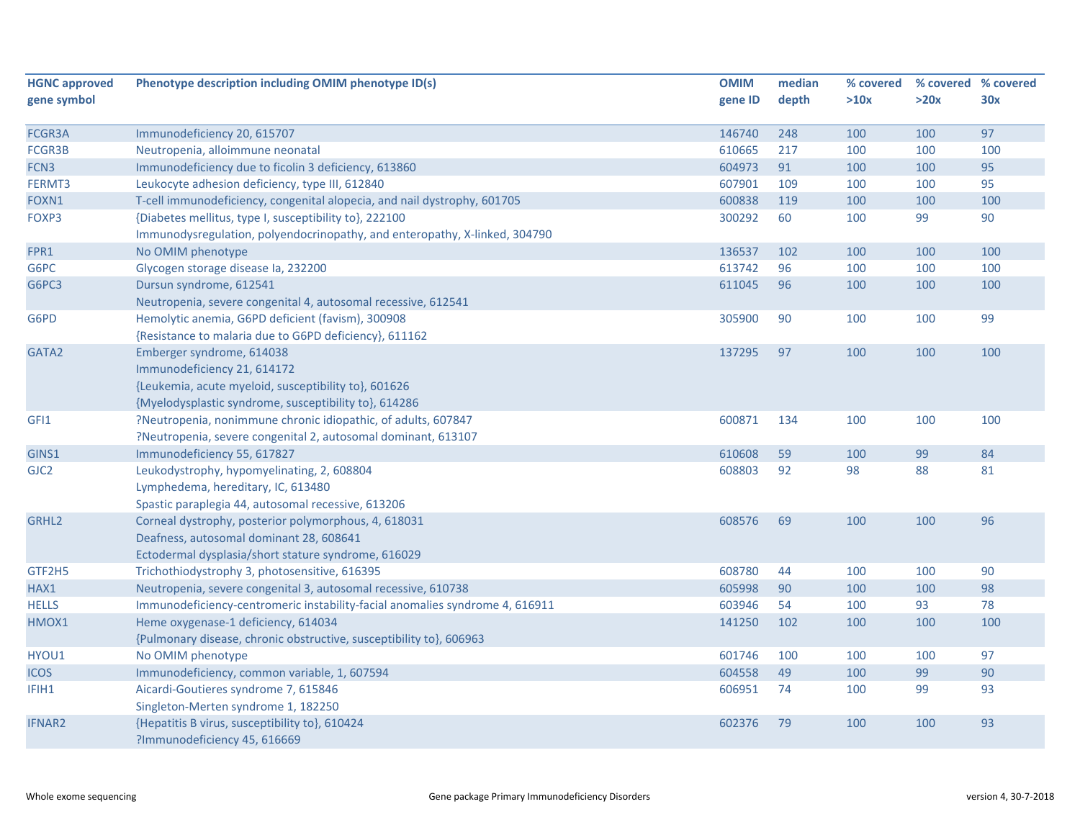| <b>HGNC approved</b> | Phenotype description including OMIM phenotype ID(s)                         | <b>OMIM</b> | median | % covered | % covered % covered |     |
|----------------------|------------------------------------------------------------------------------|-------------|--------|-----------|---------------------|-----|
| gene symbol          |                                                                              | gene ID     | depth  | >10x      | >20x                | 30x |
|                      |                                                                              |             |        |           |                     |     |
| FCGR3A               | Immunodeficiency 20, 615707                                                  | 146740      | 248    | 100       | 100                 | 97  |
| FCGR3B               | Neutropenia, alloimmune neonatal                                             | 610665      | 217    | 100       | 100                 | 100 |
| FCN3                 | Immunodeficiency due to ficolin 3 deficiency, 613860                         | 604973      | 91     | 100       | 100                 | 95  |
| FERMT3               | Leukocyte adhesion deficiency, type III, 612840                              | 607901      | 109    | 100       | 100                 | 95  |
| FOXN1                | T-cell immunodeficiency, congenital alopecia, and nail dystrophy, 601705     | 600838      | 119    | 100       | 100                 | 100 |
| FOXP3                | {Diabetes mellitus, type I, susceptibility to}, 222100                       | 300292      | 60     | 100       | 99                  | 90  |
|                      | Immunodysregulation, polyendocrinopathy, and enteropathy, X-linked, 304790   |             |        |           |                     |     |
| FPR1                 | No OMIM phenotype                                                            | 136537      | 102    | 100       | 100                 | 100 |
| G6PC                 | Glycogen storage disease la, 232200                                          | 613742      | 96     | 100       | 100                 | 100 |
| G6PC3                | Dursun syndrome, 612541                                                      | 611045      | 96     | 100       | 100                 | 100 |
|                      | Neutropenia, severe congenital 4, autosomal recessive, 612541                |             |        |           |                     |     |
| G6PD                 | Hemolytic anemia, G6PD deficient (favism), 300908                            | 305900      | 90     | 100       | 100                 | 99  |
|                      | {Resistance to malaria due to G6PD deficiency}, 611162                       |             |        |           |                     |     |
| GATA2                | Emberger syndrome, 614038                                                    | 137295      | 97     | 100       | 100                 | 100 |
|                      | Immunodeficiency 21, 614172                                                  |             |        |           |                     |     |
|                      | {Leukemia, acute myeloid, susceptibility to}, 601626                         |             |        |           |                     |     |
|                      | {Myelodysplastic syndrome, susceptibility to}, 614286                        |             |        |           |                     |     |
| GFI1                 | ?Neutropenia, nonimmune chronic idiopathic, of adults, 607847                | 600871      | 134    | 100       | 100                 | 100 |
|                      | ?Neutropenia, severe congenital 2, autosomal dominant, 613107                |             |        |           |                     |     |
| GINS1                | Immunodeficiency 55, 617827                                                  | 610608      | 59     | 100       | 99                  | 84  |
| GJC2                 | Leukodystrophy, hypomyelinating, 2, 608804                                   | 608803      | 92     | 98        | 88                  | 81  |
|                      | Lymphedema, hereditary, IC, 613480                                           |             |        |           |                     |     |
|                      | Spastic paraplegia 44, autosomal recessive, 613206                           |             |        |           |                     |     |
| GRHL2                | Corneal dystrophy, posterior polymorphous, 4, 618031                         | 608576      | 69     | 100       | 100                 | 96  |
|                      | Deafness, autosomal dominant 28, 608641                                      |             |        |           |                     |     |
|                      | Ectodermal dysplasia/short stature syndrome, 616029                          |             |        |           |                     |     |
| GTF2H5               | Trichothiodystrophy 3, photosensitive, 616395                                | 608780      | 44     | 100       | 100                 | 90  |
| HAX1                 | Neutropenia, severe congenital 3, autosomal recessive, 610738                | 605998      | 90     | 100       | 100                 | 98  |
| <b>HELLS</b>         | Immunodeficiency-centromeric instability-facial anomalies syndrome 4, 616911 | 603946      | 54     | 100       | 93                  | 78  |
| HMOX1                | Heme oxygenase-1 deficiency, 614034                                          | 141250      | 102    | 100       | 100                 | 100 |
|                      | {Pulmonary disease, chronic obstructive, susceptibility to}, 606963          |             |        |           |                     |     |
| HYOU1                | No OMIM phenotype                                                            | 601746      | 100    | 100       | 100                 | 97  |
| <b>ICOS</b>          | Immunodeficiency, common variable, 1, 607594                                 | 604558      | 49     | 100       | 99                  | 90  |
| IFIH1                | Aicardi-Goutieres syndrome 7, 615846                                         | 606951      | 74     | 100       | 99                  | 93  |
|                      | Singleton-Merten syndrome 1, 182250                                          |             |        |           |                     |     |
| <b>IFNAR2</b>        | {Hepatitis B virus, susceptibility to}, 610424                               | 602376      | 79     | 100       | 100                 | 93  |
|                      | ?Immunodeficiency 45, 616669                                                 |             |        |           |                     |     |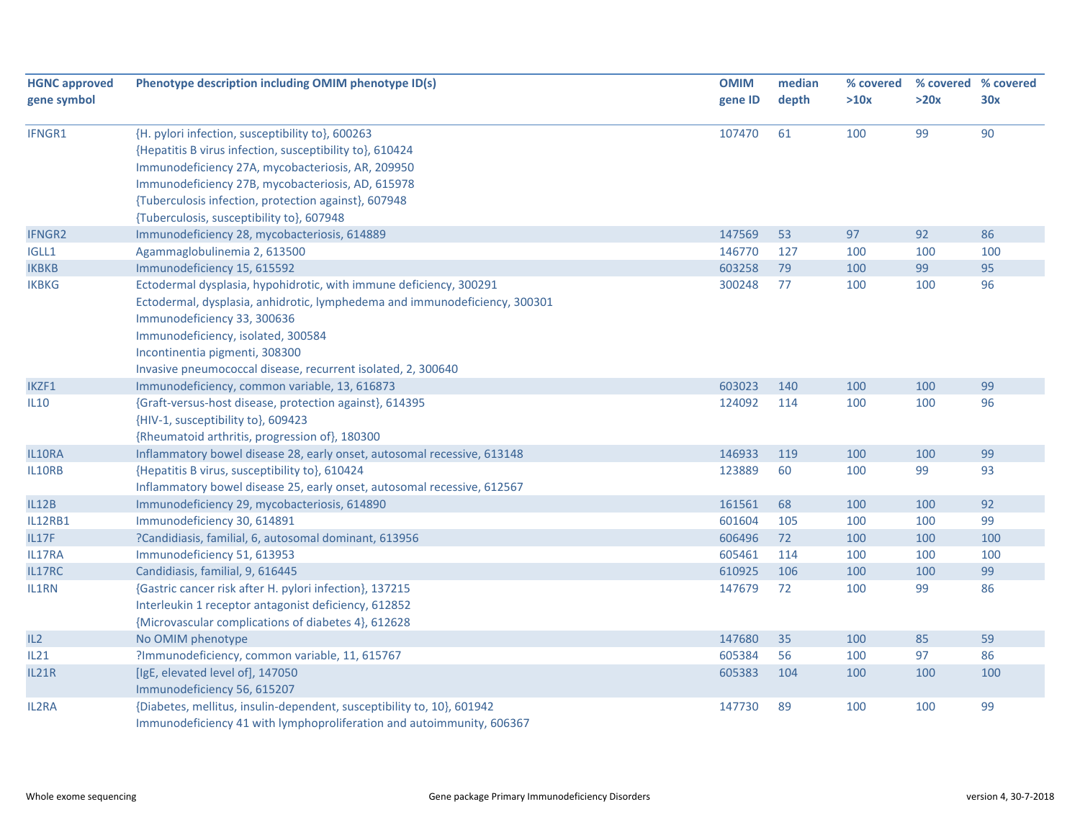| <b>HGNC approved</b><br>gene symbol | Phenotype description including OMIM phenotype ID(s)                       | <b>OMIM</b> | median<br>depth | % covered |      | % covered % covered |
|-------------------------------------|----------------------------------------------------------------------------|-------------|-----------------|-----------|------|---------------------|
|                                     |                                                                            | gene ID     |                 | >10x      | >20x | 30x                 |
| IFNGR1                              | {H. pylori infection, susceptibility to}, 600263                           | 107470      | 61              | 100       | 99   | 90                  |
|                                     | {Hepatitis B virus infection, susceptibility to}, 610424                   |             |                 |           |      |                     |
|                                     | Immunodeficiency 27A, mycobacteriosis, AR, 209950                          |             |                 |           |      |                     |
|                                     | Immunodeficiency 27B, mycobacteriosis, AD, 615978                          |             |                 |           |      |                     |
|                                     | {Tuberculosis infection, protection against}, 607948                       |             |                 |           |      |                     |
|                                     | {Tuberculosis, susceptibility to}, 607948                                  |             |                 |           |      |                     |
| <b>IFNGR2</b>                       | Immunodeficiency 28, mycobacteriosis, 614889                               | 147569      | 53              | 97        | 92   | 86                  |
| IGLL1                               | Agammaglobulinemia 2, 613500                                               | 146770      | 127             | 100       | 100  | 100                 |
| <b>IKBKB</b>                        | Immunodeficiency 15, 615592                                                | 603258      | 79              | 100       | 99   | 95                  |
| <b>IKBKG</b>                        | Ectodermal dysplasia, hypohidrotic, with immune deficiency, 300291         | 300248      | 77              | 100       | 100  | 96                  |
|                                     | Ectodermal, dysplasia, anhidrotic, lymphedema and immunodeficiency, 300301 |             |                 |           |      |                     |
|                                     | Immunodeficiency 33, 300636                                                |             |                 |           |      |                     |
|                                     | Immunodeficiency, isolated, 300584                                         |             |                 |           |      |                     |
|                                     | Incontinentia pigmenti, 308300                                             |             |                 |           |      |                     |
|                                     | Invasive pneumococcal disease, recurrent isolated, 2, 300640               |             |                 |           |      |                     |
| IKZF1                               | Immunodeficiency, common variable, 13, 616873                              | 603023      | 140             | 100       | 100  | 99                  |
| IL10                                | {Graft-versus-host disease, protection against}, 614395                    | 124092      | 114             | 100       | 100  | 96                  |
|                                     | {HIV-1, susceptibility to}, 609423                                         |             |                 |           |      |                     |
|                                     | {Rheumatoid arthritis, progression of}, 180300                             |             |                 |           |      |                     |
| IL10RA                              | Inflammatory bowel disease 28, early onset, autosomal recessive, 613148    | 146933      | 119             | 100       | 100  | 99                  |
| IL10RB                              | {Hepatitis B virus, susceptibility to}, 610424                             | 123889      | 60              | 100       | 99   | 93                  |
|                                     | Inflammatory bowel disease 25, early onset, autosomal recessive, 612567    |             |                 |           |      |                     |
| <b>IL12B</b>                        | Immunodeficiency 29, mycobacteriosis, 614890                               | 161561      | 68              | 100       | 100  | 92                  |
| <b>IL12RB1</b>                      | Immunodeficiency 30, 614891                                                | 601604      | 105             | 100       | 100  | 99                  |
| IL17F                               | ?Candidiasis, familial, 6, autosomal dominant, 613956                      | 606496      | 72              | 100       | 100  | 100                 |
| IL17RA                              | Immunodeficiency 51, 613953                                                | 605461      | 114             | 100       | 100  | 100                 |
| IL17RC                              | Candidiasis, familial, 9, 616445                                           | 610925      | 106             | 100       | 100  | 99                  |
| IL1RN                               | {Gastric cancer risk after H. pylori infection}, 137215                    | 147679      | 72              | 100       | 99   | 86                  |
|                                     | Interleukin 1 receptor antagonist deficiency, 612852                       |             |                 |           |      |                     |
|                                     | {Microvascular complications of diabetes 4}, 612628                        |             |                 |           |      |                     |
| IL2                                 | No OMIM phenotype                                                          | 147680      | 35              | 100       | 85   | 59                  |
| IL21                                | ?Immunodeficiency, common variable, 11, 615767                             | 605384      | 56              | 100       | 97   | 86                  |
| <b>IL21R</b>                        | [IgE, elevated level of], 147050                                           | 605383      | 104             | 100       | 100  | 100                 |
|                                     | Immunodeficiency 56, 615207                                                |             |                 |           |      |                     |
| IL2RA                               | {Diabetes, mellitus, insulin-dependent, susceptibility to, 10}, 601942     | 147730      | 89              | 100       | 100  | 99                  |
|                                     | Immunodeficiency 41 with lymphoproliferation and autoimmunity, 606367      |             |                 |           |      |                     |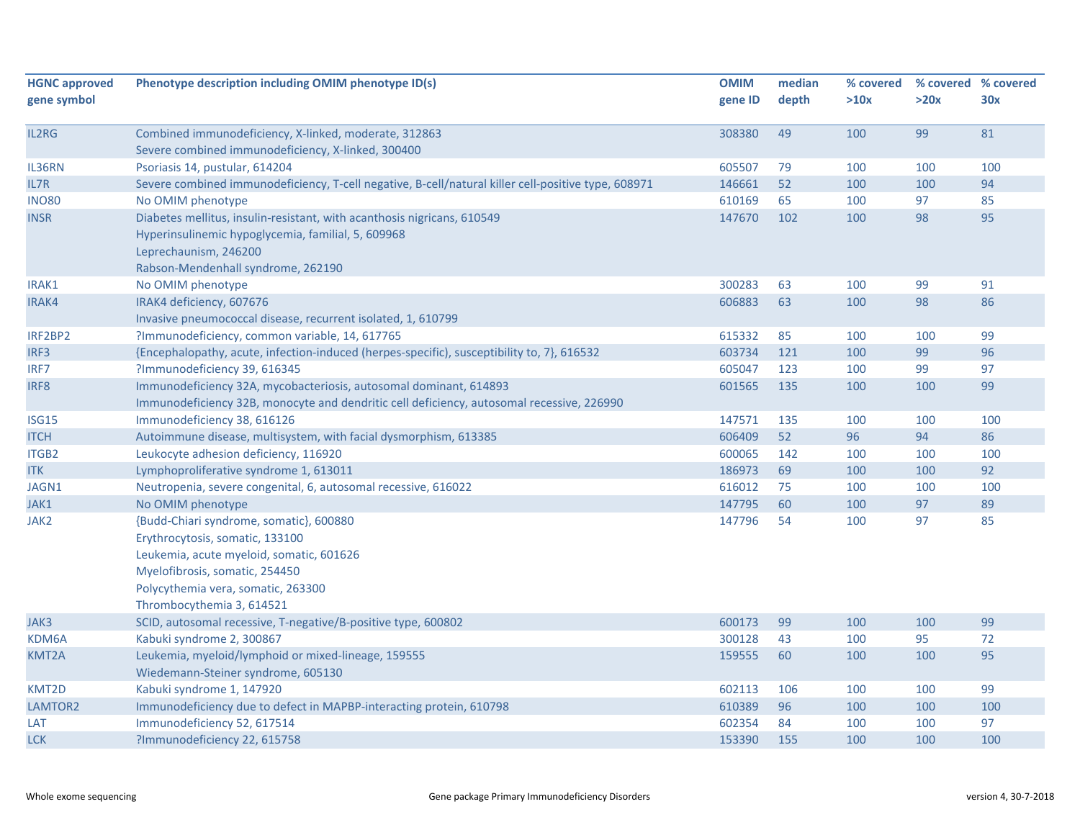| <b>HGNC approved</b> | Phenotype description including OMIM phenotype ID(s)                                                                                                                                                                        | <b>OMIM</b> | median | % covered | % covered % covered |     |
|----------------------|-----------------------------------------------------------------------------------------------------------------------------------------------------------------------------------------------------------------------------|-------------|--------|-----------|---------------------|-----|
| gene symbol          |                                                                                                                                                                                                                             | gene ID     | depth  | >10x      | >20x                | 30x |
|                      |                                                                                                                                                                                                                             |             |        |           |                     |     |
| IL2RG                | Combined immunodeficiency, X-linked, moderate, 312863                                                                                                                                                                       | 308380      | 49     | 100       | 99                  | 81  |
|                      | Severe combined immunodeficiency, X-linked, 300400                                                                                                                                                                          |             |        |           |                     |     |
| IL36RN               | Psoriasis 14, pustular, 614204                                                                                                                                                                                              | 605507      | 79     | 100       | 100                 | 100 |
| IL7R                 | Severe combined immunodeficiency, T-cell negative, B-cell/natural killer cell-positive type, 608971                                                                                                                         | 146661      | 52     | 100       | 100                 | 94  |
| <b>INO80</b>         | No OMIM phenotype                                                                                                                                                                                                           | 610169      | 65     | 100       | 97                  | 85  |
| <b>INSR</b>          | Diabetes mellitus, insulin-resistant, with acanthosis nigricans, 610549<br>Hyperinsulinemic hypoglycemia, familial, 5, 609968<br>Leprechaunism, 246200                                                                      | 147670      | 102    | 100       | 98                  | 95  |
|                      | Rabson-Mendenhall syndrome, 262190                                                                                                                                                                                          |             |        |           |                     |     |
| IRAK1                | No OMIM phenotype                                                                                                                                                                                                           | 300283      | 63     | 100       | 99                  | 91  |
| IRAK4                | IRAK4 deficiency, 607676<br>Invasive pneumococcal disease, recurrent isolated, 1, 610799                                                                                                                                    | 606883      | 63     | 100       | 98                  | 86  |
| IRF2BP2              | ?Immunodeficiency, common variable, 14, 617765                                                                                                                                                                              | 615332      | 85     | 100       | 100                 | 99  |
| IRF3                 | {Encephalopathy, acute, infection-induced (herpes-specific), susceptibility to, 7}, 616532                                                                                                                                  | 603734      | 121    | 100       | 99                  | 96  |
| IRF7                 | ?Immunodeficiency 39, 616345                                                                                                                                                                                                | 605047      | 123    | 100       | 99                  | 97  |
| IRF8                 | Immunodeficiency 32A, mycobacteriosis, autosomal dominant, 614893<br>Immunodeficiency 32B, monocyte and dendritic cell deficiency, autosomal recessive, 226990                                                              | 601565      | 135    | 100       | 100                 | 99  |
| ISG15                | Immunodeficiency 38, 616126                                                                                                                                                                                                 | 147571      | 135    | 100       | 100                 | 100 |
| <b>ITCH</b>          | Autoimmune disease, multisystem, with facial dysmorphism, 613385                                                                                                                                                            | 606409      | 52     | 96        | 94                  | 86  |
| ITGB2                | Leukocyte adhesion deficiency, 116920                                                                                                                                                                                       | 600065      | 142    | 100       | 100                 | 100 |
| ITK                  | Lymphoproliferative syndrome 1, 613011                                                                                                                                                                                      | 186973      | 69     | 100       | 100                 | 92  |
| JAGN1                | Neutropenia, severe congenital, 6, autosomal recessive, 616022                                                                                                                                                              | 616012      | 75     | 100       | 100                 | 100 |
| JAK1                 | No OMIM phenotype                                                                                                                                                                                                           | 147795      | 60     | 100       | 97                  | 89  |
| JAK2                 | {Budd-Chiari syndrome, somatic}, 600880<br>Erythrocytosis, somatic, 133100<br>Leukemia, acute myeloid, somatic, 601626<br>Myelofibrosis, somatic, 254450<br>Polycythemia vera, somatic, 263300<br>Thrombocythemia 3, 614521 | 147796      | 54     | 100       | 97                  | 85  |
| JAK3                 | SCID, autosomal recessive, T-negative/B-positive type, 600802                                                                                                                                                               | 600173      | 99     | 100       | 100                 | 99  |
| KDM6A                | Kabuki syndrome 2, 300867                                                                                                                                                                                                   | 300128      | 43     | 100       | 95                  | 72  |
| <b>KMT2A</b>         | Leukemia, myeloid/lymphoid or mixed-lineage, 159555                                                                                                                                                                         | 159555      | 60     | 100       | 100                 | 95  |
|                      | Wiedemann-Steiner syndrome, 605130                                                                                                                                                                                          |             |        |           |                     |     |
| KMT2D                | Kabuki syndrome 1, 147920                                                                                                                                                                                                   | 602113      | 106    | 100       | 100                 | 99  |
| LAMTOR2              | Immunodeficiency due to defect in MAPBP-interacting protein, 610798                                                                                                                                                         | 610389      | 96     | 100       | 100                 | 100 |
| LAT                  | Immunodeficiency 52, 617514                                                                                                                                                                                                 | 602354      | 84     | 100       | 100                 | 97  |
| <b>LCK</b>           | ?Immunodeficiency 22, 615758                                                                                                                                                                                                | 153390      | 155    | 100       | 100                 | 100 |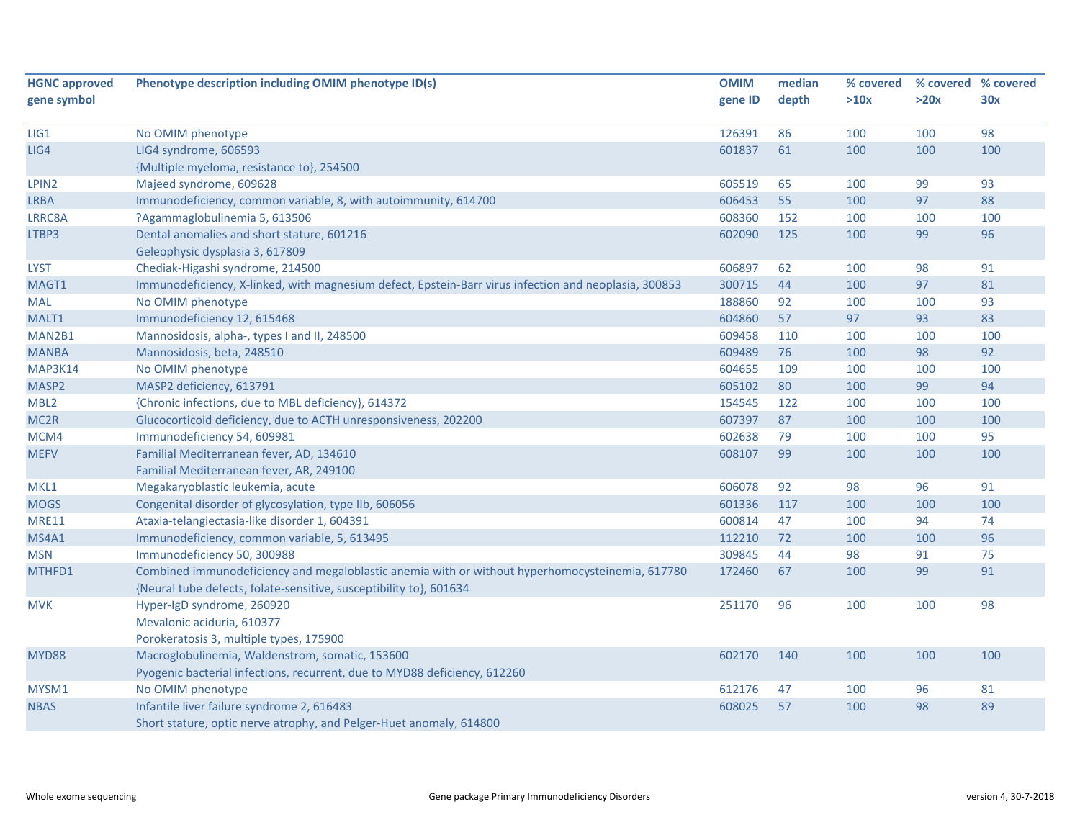| <b>HGNC approved</b> | Phenotype description including OMIM phenotype ID(s)                                                  | <b>OMIM</b> | median | % covered | % covered % covered |     |
|----------------------|-------------------------------------------------------------------------------------------------------|-------------|--------|-----------|---------------------|-----|
| gene symbol          |                                                                                                       | gene ID     | depth  | >10x      | >20x                | 30x |
|                      |                                                                                                       |             |        |           |                     |     |
| LIG1                 | No OMIM phenotype                                                                                     | 126391      | 86     | 100       | 100                 | 98  |
| LIG4                 | LIG4 syndrome, 606593                                                                                 | 601837      | 61     | 100       | 100                 | 100 |
|                      | {Multiple myeloma, resistance to}, 254500                                                             |             |        |           |                     |     |
| LPIN <sub>2</sub>    | Majeed syndrome, 609628                                                                               | 605519      | 65     | 100       | 99                  | 93  |
| <b>LRBA</b>          | Immunodeficiency, common variable, 8, with autoimmunity, 614700                                       | 606453      | 55     | 100       | 97                  | 88  |
| LRRC8A               | ?Agammaglobulinemia 5, 613506                                                                         | 608360      | 152    | 100       | 100                 | 100 |
| LTBP3                | Dental anomalies and short stature, 601216                                                            | 602090      | 125    | 100       | 99                  | 96  |
|                      | Geleophysic dysplasia 3, 617809                                                                       |             |        |           |                     |     |
| <b>LYST</b>          | Chediak-Higashi syndrome, 214500                                                                      | 606897      | 62     | 100       | 98                  | 91  |
| MAGT1                | Immunodeficiency, X-linked, with magnesium defect, Epstein-Barr virus infection and neoplasia, 300853 | 300715      | 44     | 100       | 97                  | 81  |
| <b>MAL</b>           | No OMIM phenotype                                                                                     | 188860      | 92     | 100       | 100                 | 93  |
| MALT1                | Immunodeficiency 12, 615468                                                                           | 604860      | 57     | 97        | 93                  | 83  |
| MAN2B1               | Mannosidosis, alpha-, types I and II, 248500                                                          | 609458      | 110    | 100       | 100                 | 100 |
| <b>MANBA</b>         | Mannosidosis, beta, 248510                                                                            | 609489      | 76     | 100       | 98                  | 92  |
| MAP3K14              | No OMIM phenotype                                                                                     | 604655      | 109    | 100       | 100                 | 100 |
| MASP2                | MASP2 deficiency, 613791                                                                              | 605102      | 80     | 100       | 99                  | 94  |
| MBL <sub>2</sub>     | {Chronic infections, due to MBL deficiency}, 614372                                                   | 154545      | 122    | 100       | 100                 | 100 |
| MC <sub>2R</sub>     | Glucocorticoid deficiency, due to ACTH unresponsiveness, 202200                                       | 607397      | 87     | 100       | 100                 | 100 |
| MCM4                 | Immunodeficiency 54, 609981                                                                           | 602638      | 79     | 100       | 100                 | 95  |
| <b>MEFV</b>          | Familial Mediterranean fever, AD, 134610                                                              | 608107      | 99     | 100       | 100                 | 100 |
|                      | Familial Mediterranean fever, AR, 249100                                                              |             |        |           |                     |     |
| MKL1                 | Megakaryoblastic leukemia, acute                                                                      | 606078      | 92     | 98        | 96                  | 91  |
| <b>MOGS</b>          | Congenital disorder of glycosylation, type IIb, 606056                                                | 601336      | 117    | 100       | 100                 | 100 |
| <b>MRE11</b>         | Ataxia-telangiectasia-like disorder 1, 604391                                                         | 600814      | 47     | 100       | 94                  | 74  |
| MS4A1                | Immunodeficiency, common variable, 5, 613495                                                          | 112210      | 72     | 100       | 100                 | 96  |
| <b>MSN</b>           | Immunodeficiency 50, 300988                                                                           | 309845      | 44     | 98        | 91                  | 75  |
| MTHFD1               | Combined immunodeficiency and megaloblastic anemia with or without hyperhomocysteinemia, 617780       | 172460      | 67     | 100       | 99                  | 91  |
|                      | {Neural tube defects, folate-sensitive, susceptibility to}, 601634                                    |             |        |           |                     |     |
| <b>MVK</b>           | Hyper-IgD syndrome, 260920                                                                            | 251170      | 96     | 100       | 100                 | 98  |
|                      | Mevalonic aciduria, 610377                                                                            |             |        |           |                     |     |
|                      | Porokeratosis 3, multiple types, 175900                                                               |             |        |           |                     |     |
| MYD88                | Macroglobulinemia, Waldenstrom, somatic, 153600                                                       | 602170      | 140    | 100       | 100                 | 100 |
|                      | Pyogenic bacterial infections, recurrent, due to MYD88 deficiency, 612260                             |             |        |           |                     |     |
| MYSM1                | No OMIM phenotype                                                                                     | 612176      | 47     | 100       | 96                  | 81  |
| <b>NBAS</b>          | Infantile liver failure syndrome 2, 616483                                                            | 608025      | 57     | 100       | 98                  | 89  |
|                      | Short stature, optic nerve atrophy, and Pelger-Huet anomaly, 614800                                   |             |        |           |                     |     |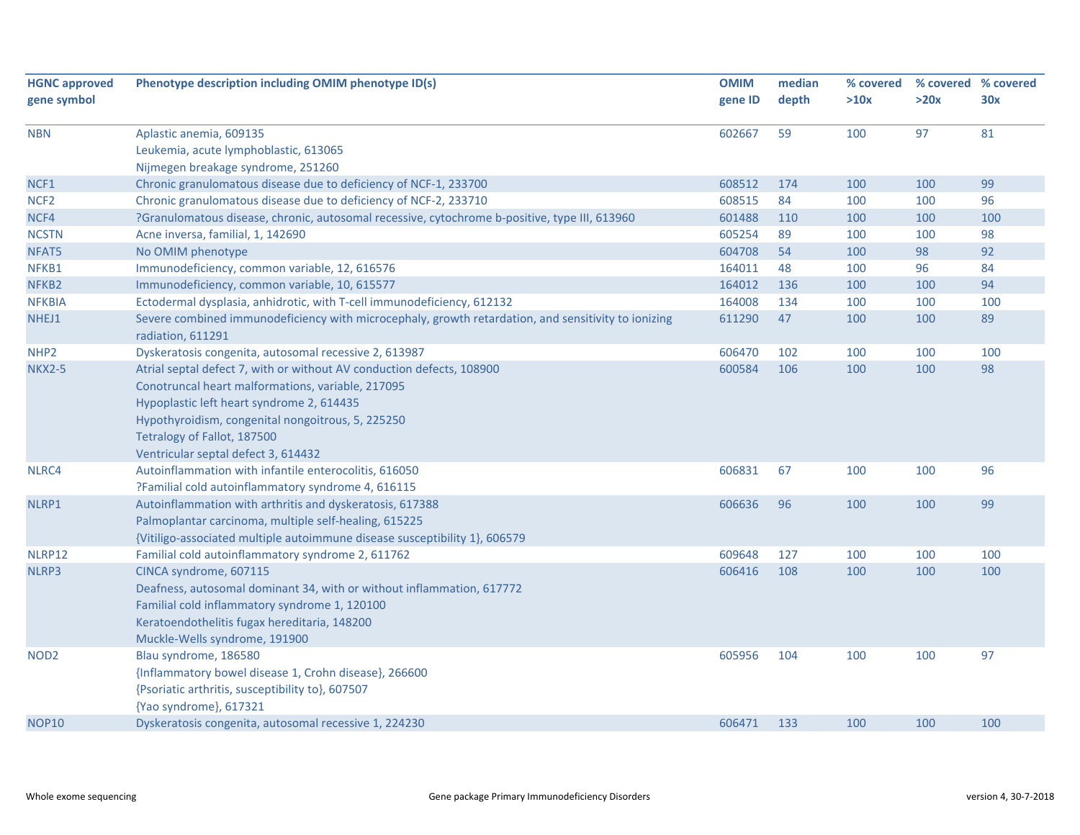| <b>HGNC approved</b> | Phenotype description including OMIM phenotype ID(s)                                                | <b>OMIM</b> | median | % covered | % covered % covered |     |
|----------------------|-----------------------------------------------------------------------------------------------------|-------------|--------|-----------|---------------------|-----|
| gene symbol          |                                                                                                     | gene ID     | depth  | >10x      | >20x                | 30x |
|                      |                                                                                                     |             |        |           |                     |     |
| <b>NBN</b>           | Aplastic anemia, 609135                                                                             | 602667      | 59     | 100       | 97                  | 81  |
|                      | Leukemia, acute lymphoblastic, 613065                                                               |             |        |           |                     |     |
|                      | Nijmegen breakage syndrome, 251260                                                                  |             |        |           |                     |     |
| NCF1                 | Chronic granulomatous disease due to deficiency of NCF-1, 233700                                    | 608512      | 174    | 100       | 100                 | 99  |
| NCF <sub>2</sub>     | Chronic granulomatous disease due to deficiency of NCF-2, 233710                                    | 608515      | 84     | 100       | 100                 | 96  |
| NCF4                 | ?Granulomatous disease, chronic, autosomal recessive, cytochrome b-positive, type III, 613960       | 601488      | 110    | 100       | 100                 | 100 |
| <b>NCSTN</b>         | Acne inversa, familial, 1, 142690                                                                   | 605254      | 89     | 100       | 100                 | 98  |
| NFAT5                | No OMIM phenotype                                                                                   | 604708      | 54     | 100       | 98                  | 92  |
| NFKB1                | Immunodeficiency, common variable, 12, 616576                                                       | 164011      | 48     | 100       | 96                  | 84  |
| NFKB <sub>2</sub>    | Immunodeficiency, common variable, 10, 615577                                                       | 164012      | 136    | 100       | 100                 | 94  |
| <b>NFKBIA</b>        | Ectodermal dysplasia, anhidrotic, with T-cell immunodeficiency, 612132                              | 164008      | 134    | 100       | 100                 | 100 |
| NHEJ1                | Severe combined immunodeficiency with microcephaly, growth retardation, and sensitivity to ionizing | 611290      | 47     | 100       | 100                 | 89  |
|                      | radiation, 611291                                                                                   |             |        |           |                     |     |
| NHP <sub>2</sub>     | Dyskeratosis congenita, autosomal recessive 2, 613987                                               | 606470      | 102    | 100       | 100                 | 100 |
| <b>NKX2-5</b>        | Atrial septal defect 7, with or without AV conduction defects, 108900                               | 600584      | 106    | 100       | 100                 | 98  |
|                      | Conotruncal heart malformations, variable, 217095                                                   |             |        |           |                     |     |
|                      | Hypoplastic left heart syndrome 2, 614435                                                           |             |        |           |                     |     |
|                      | Hypothyroidism, congenital nongoitrous, 5, 225250                                                   |             |        |           |                     |     |
|                      | Tetralogy of Fallot, 187500                                                                         |             |        |           |                     |     |
|                      | Ventricular septal defect 3, 614432                                                                 |             |        |           |                     |     |
| NLRC4                | Autoinflammation with infantile enterocolitis, 616050                                               | 606831      | 67     | 100       | 100                 | 96  |
|                      | ?Familial cold autoinflammatory syndrome 4, 616115                                                  |             |        |           |                     |     |
| NLRP1                | Autoinflammation with arthritis and dyskeratosis, 617388                                            | 606636      | 96     | 100       | 100                 | 99  |
|                      | Palmoplantar carcinoma, multiple self-healing, 615225                                               |             |        |           |                     |     |
|                      | {Vitiligo-associated multiple autoimmune disease susceptibility 1}, 606579                          |             |        |           |                     |     |
| NLRP12               | Familial cold autoinflammatory syndrome 2, 611762                                                   | 609648      | 127    | 100       | 100                 | 100 |
| NLRP3                | CINCA syndrome, 607115                                                                              | 606416      | 108    | 100       | 100                 | 100 |
|                      | Deafness, autosomal dominant 34, with or without inflammation, 617772                               |             |        |           |                     |     |
|                      | Familial cold inflammatory syndrome 1, 120100                                                       |             |        |           |                     |     |
|                      | Keratoendothelitis fugax hereditaria, 148200                                                        |             |        |           |                     |     |
|                      | Muckle-Wells syndrome, 191900                                                                       |             |        |           |                     |     |
| NOD <sub>2</sub>     | Blau syndrome, 186580                                                                               | 605956      | 104    | 100       | 100                 | 97  |
|                      | {Inflammatory bowel disease 1, Crohn disease}, 266600                                               |             |        |           |                     |     |
|                      | {Psoriatic arthritis, susceptibility to}, 607507                                                    |             |        |           |                     |     |
|                      | {Yao syndrome}, 617321                                                                              |             |        |           |                     |     |
| <b>NOP10</b>         | Dyskeratosis congenita, autosomal recessive 1, 224230                                               | 606471      | 133    | 100       | 100                 | 100 |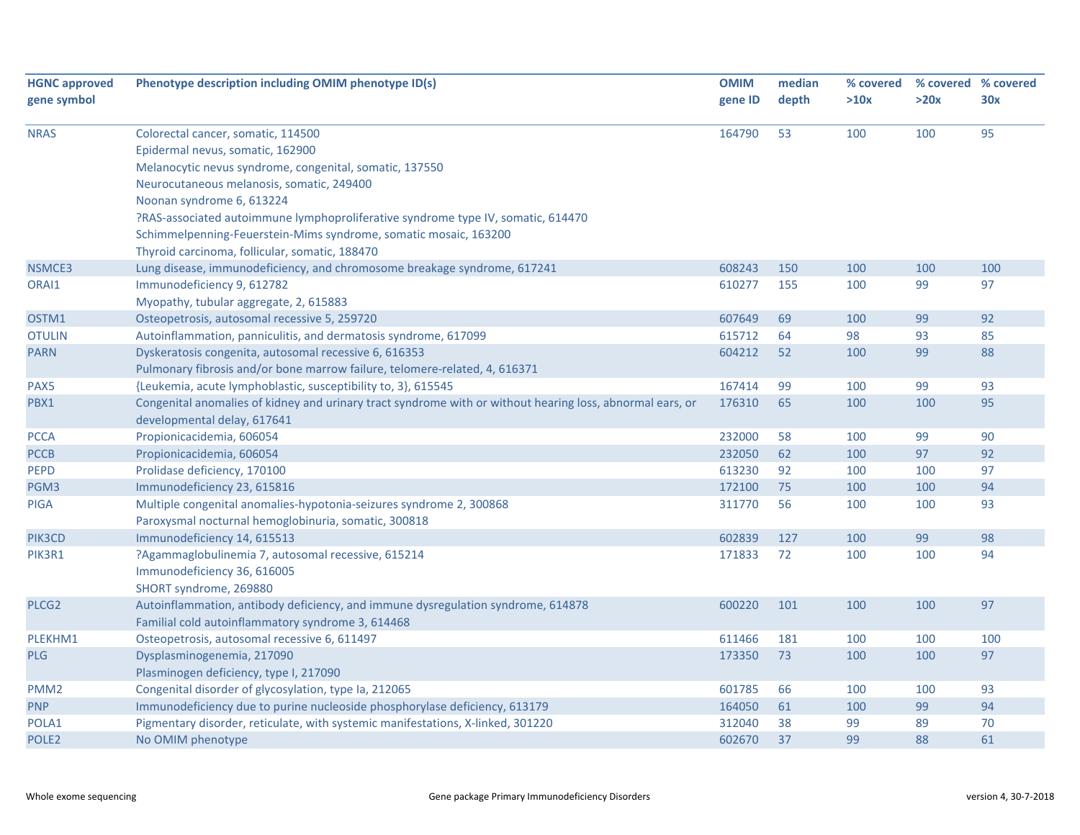| <b>HGNC approved</b> | Phenotype description including OMIM phenotype ID(s)                                                      | <b>OMIM</b> | median | % covered | % covered % covered |     |
|----------------------|-----------------------------------------------------------------------------------------------------------|-------------|--------|-----------|---------------------|-----|
| gene symbol          |                                                                                                           | gene ID     | depth  | >10x      | >20x                | 30x |
|                      |                                                                                                           |             |        |           |                     |     |
| <b>NRAS</b>          | Colorectal cancer, somatic, 114500                                                                        | 164790      | 53     | 100       | 100                 | 95  |
|                      | Epidermal nevus, somatic, 162900                                                                          |             |        |           |                     |     |
|                      | Melanocytic nevus syndrome, congenital, somatic, 137550                                                   |             |        |           |                     |     |
|                      | Neurocutaneous melanosis, somatic, 249400                                                                 |             |        |           |                     |     |
|                      | Noonan syndrome 6, 613224                                                                                 |             |        |           |                     |     |
|                      | ?RAS-associated autoimmune lymphoproliferative syndrome type IV, somatic, 614470                          |             |        |           |                     |     |
|                      | Schimmelpenning-Feuerstein-Mims syndrome, somatic mosaic, 163200                                          |             |        |           |                     |     |
|                      | Thyroid carcinoma, follicular, somatic, 188470                                                            |             |        |           |                     |     |
| NSMCE3               | Lung disease, immunodeficiency, and chromosome breakage syndrome, 617241                                  | 608243      | 150    | 100       | 100                 | 100 |
| ORAI1                | Immunodeficiency 9, 612782                                                                                | 610277      | 155    | 100       | 99                  | 97  |
|                      | Myopathy, tubular aggregate, 2, 615883                                                                    |             |        |           |                     |     |
| OSTM1                | Osteopetrosis, autosomal recessive 5, 259720                                                              | 607649      | 69     | 100       | 99                  | 92  |
| <b>OTULIN</b>        | Autoinflammation, panniculitis, and dermatosis syndrome, 617099                                           | 615712      | 64     | 98        | 93                  | 85  |
| <b>PARN</b>          | Dyskeratosis congenita, autosomal recessive 6, 616353                                                     | 604212      | 52     | 100       | 99                  | 88  |
|                      | Pulmonary fibrosis and/or bone marrow failure, telomere-related, 4, 616371                                |             |        |           |                     |     |
| PAX5                 | {Leukemia, acute lymphoblastic, susceptibility to, 3}, 615545                                             | 167414      | 99     | 100       | 99                  | 93  |
| PBX1                 | Congenital anomalies of kidney and urinary tract syndrome with or without hearing loss, abnormal ears, or | 176310      | 65     | 100       | 100                 | 95  |
|                      | developmental delay, 617641                                                                               |             |        |           |                     |     |
| <b>PCCA</b>          | Propionicacidemia, 606054                                                                                 | 232000      | 58     | 100       | 99                  | 90  |
| <b>PCCB</b>          | Propionicacidemia, 606054                                                                                 | 232050      | 62     | 100       | 97                  | 92  |
| PEPD                 | Prolidase deficiency, 170100                                                                              | 613230      | 92     | 100       | 100                 | 97  |
| PGM3                 | Immunodeficiency 23, 615816                                                                               | 172100      | 75     | 100       | 100                 | 94  |
| <b>PIGA</b>          | Multiple congenital anomalies-hypotonia-seizures syndrome 2, 300868                                       | 311770      | 56     | 100       | 100                 | 93  |
|                      | Paroxysmal nocturnal hemoglobinuria, somatic, 300818                                                      |             |        |           |                     |     |
| PIK3CD               | Immunodeficiency 14, 615513                                                                               | 602839      | 127    | 100       | 99                  | 98  |
| PIK3R1               | ?Agammaglobulinemia 7, autosomal recessive, 615214                                                        | 171833      | 72     | 100       | 100                 | 94  |
|                      | Immunodeficiency 36, 616005                                                                               |             |        |           |                     |     |
|                      | SHORT syndrome, 269880                                                                                    |             |        |           |                     |     |
| PLCG <sub>2</sub>    | Autoinflammation, antibody deficiency, and immune dysregulation syndrome, 614878                          | 600220      | 101    | 100       | 100                 | 97  |
|                      | Familial cold autoinflammatory syndrome 3, 614468                                                         |             |        |           |                     |     |
| PLEKHM1              | Osteopetrosis, autosomal recessive 6, 611497                                                              | 611466      | 181    | 100       | 100                 | 100 |
| <b>PLG</b>           | Dysplasminogenemia, 217090                                                                                | 173350      | 73     | 100       | 100                 | 97  |
|                      | Plasminogen deficiency, type I, 217090                                                                    |             |        |           |                     |     |
| PMM <sub>2</sub>     | Congenital disorder of glycosylation, type Ia, 212065                                                     | 601785      | 66     | 100       | 100                 | 93  |
| <b>PNP</b>           | Immunodeficiency due to purine nucleoside phosphorylase deficiency, 613179                                | 164050      | 61     | 100       | 99                  | 94  |
| POLA1                | Pigmentary disorder, reticulate, with systemic manifestations, X-linked, 301220                           | 312040      | 38     | 99        | 89                  | 70  |
| POLE <sub>2</sub>    | No OMIM phenotype                                                                                         | 602670      | 37     | 99        | 88                  | 61  |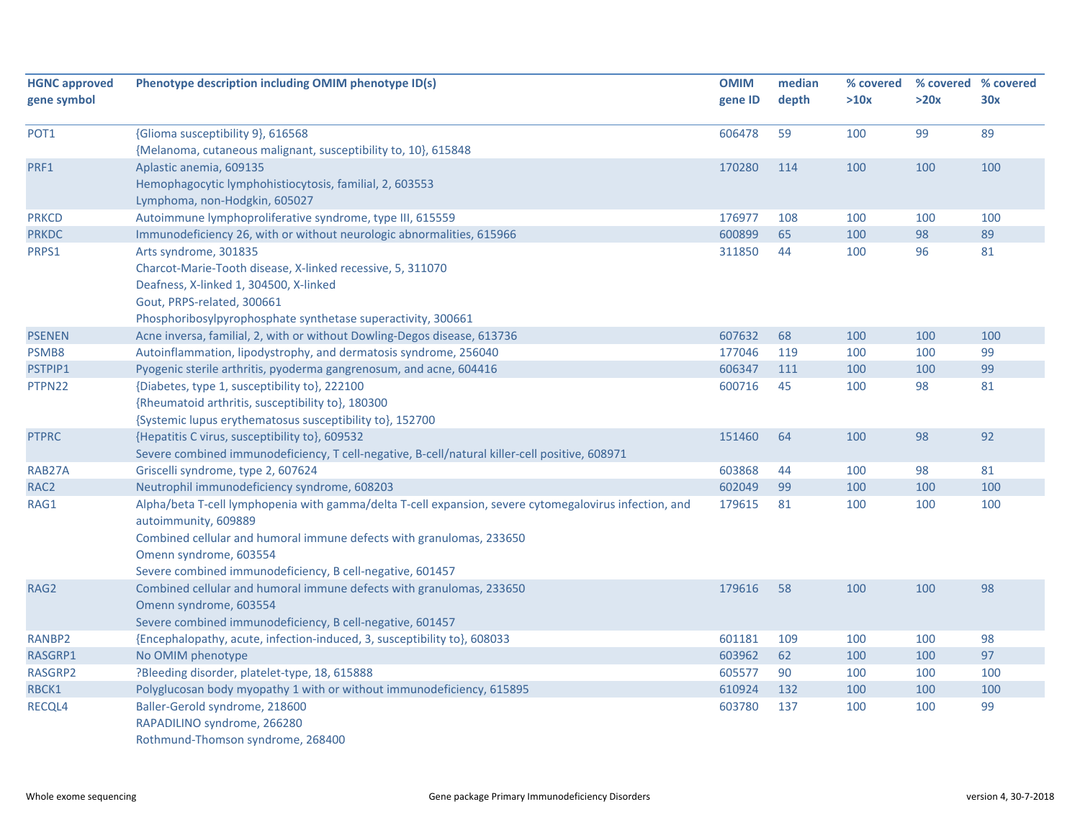| <b>HGNC approved</b><br>gene symbol | Phenotype description including OMIM phenotype ID(s)                                                   | <b>OMIM</b><br>gene ID | median<br>depth | % covered<br>>10x | % covered % covered<br>>20x | 30x |
|-------------------------------------|--------------------------------------------------------------------------------------------------------|------------------------|-----------------|-------------------|-----------------------------|-----|
|                                     |                                                                                                        |                        |                 |                   |                             |     |
| POT <sub>1</sub>                    | {Glioma susceptibility 9}, 616568                                                                      | 606478                 | 59              | 100               | 99                          | 89  |
|                                     | {Melanoma, cutaneous malignant, susceptibility to, 10}, 615848                                         |                        |                 |                   |                             |     |
| PRF1                                | Aplastic anemia, 609135                                                                                | 170280                 | 114             | 100               | 100                         | 100 |
|                                     | Hemophagocytic lymphohistiocytosis, familial, 2, 603553                                                |                        |                 |                   |                             |     |
|                                     | Lymphoma, non-Hodgkin, 605027                                                                          |                        |                 |                   |                             |     |
| <b>PRKCD</b>                        | Autoimmune lymphoproliferative syndrome, type III, 615559                                              | 176977                 | 108             | 100               | 100                         | 100 |
| <b>PRKDC</b>                        | Immunodeficiency 26, with or without neurologic abnormalities, 615966                                  | 600899                 | 65              | 100               | 98                          | 89  |
| PRPS1                               | Arts syndrome, 301835                                                                                  | 311850                 | 44              | 100               | 96                          | 81  |
|                                     | Charcot-Marie-Tooth disease, X-linked recessive, 5, 311070                                             |                        |                 |                   |                             |     |
|                                     | Deafness, X-linked 1, 304500, X-linked                                                                 |                        |                 |                   |                             |     |
|                                     | Gout, PRPS-related, 300661                                                                             |                        |                 |                   |                             |     |
|                                     | Phosphoribosylpyrophosphate synthetase superactivity, 300661                                           |                        |                 |                   |                             |     |
| <b>PSENEN</b>                       | Acne inversa, familial, 2, with or without Dowling-Degos disease, 613736                               | 607632                 | 68              | 100               | 100                         | 100 |
| PSMB8                               | Autoinflammation, lipodystrophy, and dermatosis syndrome, 256040                                       | 177046                 | 119             | 100               | 100                         | 99  |
| PSTPIP1                             | Pyogenic sterile arthritis, pyoderma gangrenosum, and acne, 604416                                     | 606347                 | 111             | 100               | 100                         | 99  |
| PTPN22                              | {Diabetes, type 1, susceptibility to}, 222100                                                          | 600716                 | 45              | 100               | 98                          | 81  |
|                                     | {Rheumatoid arthritis, susceptibility to}, 180300                                                      |                        |                 |                   |                             |     |
|                                     | {Systemic lupus erythematosus susceptibility to}, 152700                                               |                        |                 |                   |                             |     |
| <b>PTPRC</b>                        | {Hepatitis C virus, susceptibility to}, 609532                                                         | 151460                 | 64              | 100               | 98                          | 92  |
|                                     | Severe combined immunodeficiency, T cell-negative, B-cell/natural killer-cell positive, 608971         |                        |                 |                   |                             |     |
| RAB27A                              | Griscelli syndrome, type 2, 607624                                                                     | 603868                 | 44              | 100               | 98                          | 81  |
| RAC <sub>2</sub>                    | Neutrophil immunodeficiency syndrome, 608203                                                           | 602049                 | 99              | 100               | 100                         | 100 |
| RAG1                                | Alpha/beta T-cell lymphopenia with gamma/delta T-cell expansion, severe cytomegalovirus infection, and | 179615                 | 81              | 100               | 100                         | 100 |
|                                     | autoimmunity, 609889                                                                                   |                        |                 |                   |                             |     |
|                                     | Combined cellular and humoral immune defects with granulomas, 233650                                   |                        |                 |                   |                             |     |
|                                     | Omenn syndrome, 603554                                                                                 |                        |                 |                   |                             |     |
|                                     | Severe combined immunodeficiency, B cell-negative, 601457                                              |                        |                 |                   |                             |     |
| RAG2                                | Combined cellular and humoral immune defects with granulomas, 233650                                   | 179616                 | 58              | 100               | 100                         | 98  |
|                                     | Omenn syndrome, 603554                                                                                 |                        |                 |                   |                             |     |
|                                     | Severe combined immunodeficiency, B cell-negative, 601457                                              |                        |                 |                   |                             |     |
| RANBP2                              | {Encephalopathy, acute, infection-induced, 3, susceptibility to}, 608033                               | 601181                 | 109             | 100               | 100                         | 98  |
| RASGRP1                             | No OMIM phenotype                                                                                      | 603962                 | 62              | 100               | 100                         | 97  |
| RASGRP2                             | ?Bleeding disorder, platelet-type, 18, 615888                                                          | 605577                 | 90              | 100               | 100                         | 100 |
| RBCK1                               | Polyglucosan body myopathy 1 with or without immunodeficiency, 615895                                  | 610924                 | 132             | 100               | 100                         | 100 |
| RECQL4                              | Baller-Gerold syndrome, 218600                                                                         | 603780                 | 137             | 100               | 100                         | 99  |
|                                     | RAPADILINO syndrome, 266280                                                                            |                        |                 |                   |                             |     |
|                                     | Rothmund-Thomson syndrome, 268400                                                                      |                        |                 |                   |                             |     |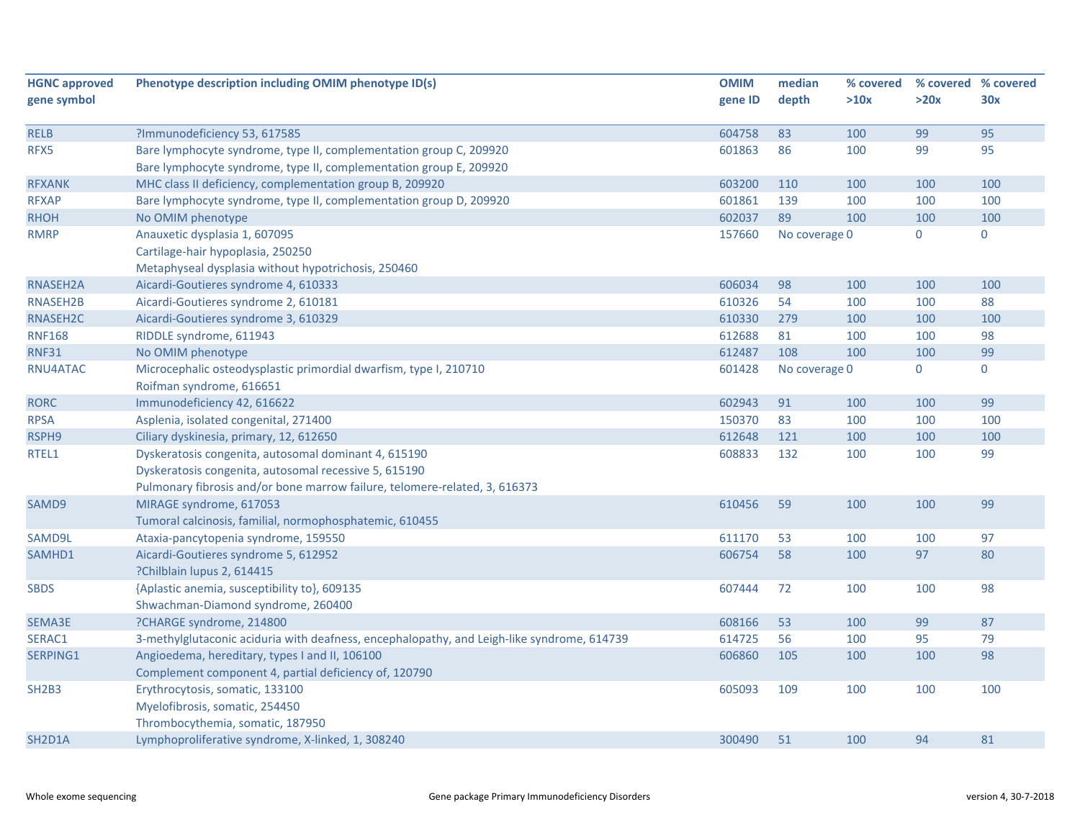| <b>HGNC approved</b>             | Phenotype description including OMIM phenotype ID(s)                                       | <b>OMIM</b> | median        | % covered | % covered % covered |             |
|----------------------------------|--------------------------------------------------------------------------------------------|-------------|---------------|-----------|---------------------|-------------|
| gene symbol                      |                                                                                            | gene ID     | depth         | >10x      | >20x                | 30x         |
|                                  |                                                                                            |             |               |           |                     |             |
| <b>RELB</b>                      | ?Immunodeficiency 53, 617585                                                               | 604758      | 83            | 100       | 99                  | 95          |
| RFX5                             | Bare lymphocyte syndrome, type II, complementation group C, 209920                         | 601863      | 86            | 100       | 99                  | 95          |
|                                  | Bare lymphocyte syndrome, type II, complementation group E, 209920                         |             |               |           |                     |             |
| <b>RFXANK</b>                    | MHC class II deficiency, complementation group B, 209920                                   | 603200      | 110           | 100       | 100                 | 100         |
| <b>RFXAP</b>                     | Bare lymphocyte syndrome, type II, complementation group D, 209920                         | 601861      | 139           | 100       | 100                 | 100         |
| <b>RHOH</b>                      | No OMIM phenotype                                                                          | 602037      | 89            | 100       | 100                 | 100         |
| <b>RMRP</b>                      | Anauxetic dysplasia 1, 607095                                                              | 157660      | No coverage 0 |           | 0                   | $\mathbf 0$ |
|                                  | Cartilage-hair hypoplasia, 250250                                                          |             |               |           |                     |             |
|                                  | Metaphyseal dysplasia without hypotrichosis, 250460                                        |             |               |           |                     |             |
| RNASEH2A                         | Aicardi-Goutieres syndrome 4, 610333                                                       | 606034      | 98            | 100       | 100                 | 100         |
| RNASEH2B                         | Aicardi-Goutieres syndrome 2, 610181                                                       | 610326      | 54            | 100       | 100                 | 88          |
| RNASEH2C                         | Aicardi-Goutieres syndrome 3, 610329                                                       | 610330      | 279           | 100       | 100                 | 100         |
| <b>RNF168</b>                    | RIDDLE syndrome, 611943                                                                    | 612688      | 81            | 100       | 100                 | 98          |
| <b>RNF31</b>                     | No OMIM phenotype                                                                          | 612487      | 108           | 100       | 100                 | 99          |
| RNU4ATAC                         | Microcephalic osteodysplastic primordial dwarfism, type I, 210710                          | 601428      | No coverage 0 |           | 0                   | $\mathbf 0$ |
|                                  | Roifman syndrome, 616651                                                                   |             |               |           |                     |             |
| <b>RORC</b>                      | Immunodeficiency 42, 616622                                                                | 602943      | 91            | 100       | 100                 | 99          |
| <b>RPSA</b>                      | Asplenia, isolated congenital, 271400                                                      | 150370      | 83            | 100       | 100                 | 100         |
| RSPH9                            | Ciliary dyskinesia, primary, 12, 612650                                                    | 612648      | 121           | 100       | 100                 | 100         |
| RTEL1                            | Dyskeratosis congenita, autosomal dominant 4, 615190                                       | 608833      | 132           | 100       | 100                 | 99          |
|                                  | Dyskeratosis congenita, autosomal recessive 5, 615190                                      |             |               |           |                     |             |
|                                  | Pulmonary fibrosis and/or bone marrow failure, telomere-related, 3, 616373                 |             |               |           |                     |             |
| SAMD9                            | MIRAGE syndrome, 617053                                                                    | 610456      | 59            | 100       | 100                 | 99          |
|                                  | Tumoral calcinosis, familial, normophosphatemic, 610455                                    |             |               |           |                     |             |
| SAMD9L                           | Ataxia-pancytopenia syndrome, 159550                                                       | 611170      | 53            | 100       | 100                 | 97          |
| SAMHD1                           | Aicardi-Goutieres syndrome 5, 612952                                                       | 606754      | 58            | 100       | 97                  | 80          |
|                                  | ?Chilblain lupus 2, 614415                                                                 |             |               |           |                     |             |
| <b>SBDS</b>                      | {Aplastic anemia, susceptibility to}, 609135                                               | 607444      | 72            | 100       | 100                 | 98          |
|                                  | Shwachman-Diamond syndrome, 260400                                                         |             |               |           |                     |             |
| SEMA3E                           | ?CHARGE syndrome, 214800                                                                   | 608166      | 53            | 100       | 99                  | 87          |
| SERAC1                           | 3-methylglutaconic aciduria with deafness, encephalopathy, and Leigh-like syndrome, 614739 | 614725      | 56            | 100       | 95                  | 79          |
| SERPING1                         | Angioedema, hereditary, types I and II, 106100                                             | 606860      | 105           | 100       | 100                 | 98          |
|                                  | Complement component 4, partial deficiency of, 120790                                      |             |               |           |                     |             |
| SH <sub>2</sub> B <sub>3</sub>   | Erythrocytosis, somatic, 133100                                                            | 605093      | 109           | 100       | 100                 | 100         |
|                                  | Myelofibrosis, somatic, 254450                                                             |             |               |           |                     |             |
|                                  | Thrombocythemia, somatic, 187950                                                           |             |               |           |                     |             |
| SH <sub>2</sub> D <sub>1</sub> A | Lymphoproliferative syndrome, X-linked, 1, 308240                                          | 300490      | 51            | 100       | 94                  | 81          |
|                                  |                                                                                            |             |               |           |                     |             |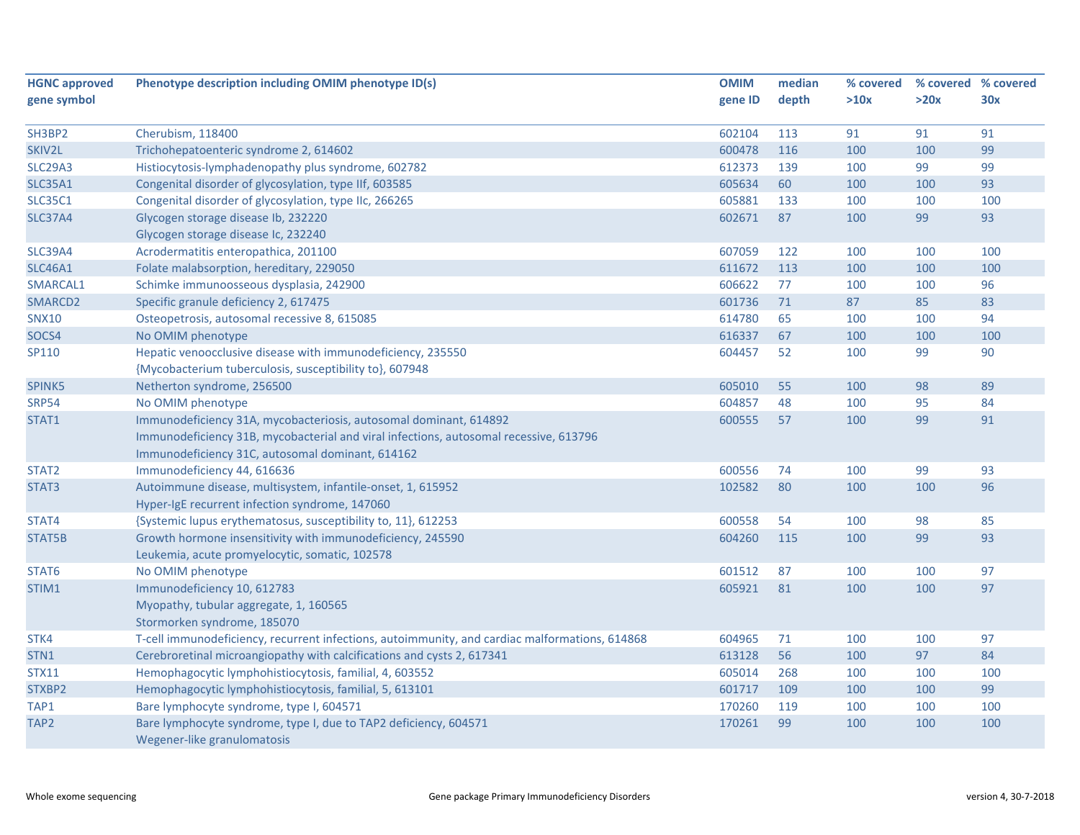| <b>HGNC approved</b> | Phenotype description including OMIM phenotype ID(s)                                           | <b>OMIM</b> | median | % covered | % covered % covered |     |
|----------------------|------------------------------------------------------------------------------------------------|-------------|--------|-----------|---------------------|-----|
| gene symbol          |                                                                                                | gene ID     | depth  | >10x      | >20x                | 30x |
|                      |                                                                                                |             |        |           |                     |     |
| SH3BP2               | Cherubism, 118400                                                                              | 602104      | 113    | 91        | 91                  | 91  |
| SKIV2L               | Trichohepatoenteric syndrome 2, 614602                                                         | 600478      | 116    | 100       | 100                 | 99  |
| <b>SLC29A3</b>       | Histiocytosis-lymphadenopathy plus syndrome, 602782                                            | 612373      | 139    | 100       | 99                  | 99  |
| <b>SLC35A1</b>       | Congenital disorder of glycosylation, type IIf, 603585                                         | 605634      | 60     | 100       | 100                 | 93  |
| <b>SLC35C1</b>       | Congenital disorder of glycosylation, type IIc, 266265                                         | 605881      | 133    | 100       | 100                 | 100 |
| <b>SLC37A4</b>       | Glycogen storage disease Ib, 232220                                                            | 602671      | 87     | 100       | 99                  | 93  |
|                      | Glycogen storage disease Ic, 232240                                                            |             |        |           |                     |     |
| <b>SLC39A4</b>       | Acrodermatitis enteropathica, 201100                                                           | 607059      | 122    | 100       | 100                 | 100 |
| <b>SLC46A1</b>       | Folate malabsorption, hereditary, 229050                                                       | 611672      | 113    | 100       | 100                 | 100 |
| SMARCAL1             | Schimke immunoosseous dysplasia, 242900                                                        | 606622      | 77     | 100       | 100                 | 96  |
| SMARCD2              | Specific granule deficiency 2, 617475                                                          | 601736      | 71     | 87        | 85                  | 83  |
| <b>SNX10</b>         | Osteopetrosis, autosomal recessive 8, 615085                                                   | 614780      | 65     | 100       | 100                 | 94  |
| SOCS4                | No OMIM phenotype                                                                              | 616337      | 67     | 100       | 100                 | 100 |
| SP110                | Hepatic venoocclusive disease with immunodeficiency, 235550                                    | 604457      | 52     | 100       | 99                  | 90  |
|                      | {Mycobacterium tuberculosis, susceptibility to}, 607948                                        |             |        |           |                     |     |
| SPINK5               | Netherton syndrome, 256500                                                                     | 605010      | 55     | 100       | 98                  | 89  |
| <b>SRP54</b>         | No OMIM phenotype                                                                              | 604857      | 48     | 100       | 95                  | 84  |
| STAT1                | Immunodeficiency 31A, mycobacteriosis, autosomal dominant, 614892                              | 600555      | 57     | 100       | 99                  | 91  |
|                      | Immunodeficiency 31B, mycobacterial and viral infections, autosomal recessive, 613796          |             |        |           |                     |     |
|                      | Immunodeficiency 31C, autosomal dominant, 614162                                               |             |        |           |                     |     |
| STAT <sub>2</sub>    | Immunodeficiency 44, 616636                                                                    | 600556      | 74     | 100       | 99                  | 93  |
| STAT3                | Autoimmune disease, multisystem, infantile-onset, 1, 615952                                    | 102582      | 80     | 100       | 100                 | 96  |
|                      | Hyper-IgE recurrent infection syndrome, 147060                                                 |             |        |           |                     |     |
| STAT4                | {Systemic lupus erythematosus, susceptibility to, 11}, 612253                                  | 600558      | 54     | 100       | 98                  | 85  |
| STAT5B               | Growth hormone insensitivity with immunodeficiency, 245590                                     | 604260      | 115    | 100       | 99                  | 93  |
|                      | Leukemia, acute promyelocytic, somatic, 102578                                                 |             |        |           |                     |     |
| STAT6                | No OMIM phenotype                                                                              | 601512      | 87     | 100       | 100                 | 97  |
| STIM1                | Immunodeficiency 10, 612783                                                                    | 605921      | 81     | 100       | 100                 | 97  |
|                      | Myopathy, tubular aggregate, 1, 160565                                                         |             |        |           |                     |     |
|                      | Stormorken syndrome, 185070                                                                    |             |        |           |                     |     |
| STK4                 | T-cell immunodeficiency, recurrent infections, autoimmunity, and cardiac malformations, 614868 | 604965      | 71     | 100       | 100                 | 97  |
| STN1                 | Cerebroretinal microangiopathy with calcifications and cysts 2, 617341                         | 613128      | 56     | 100       | 97                  | 84  |
| <b>STX11</b>         | Hemophagocytic lymphohistiocytosis, familial, 4, 603552                                        | 605014      | 268    | 100       | 100                 | 100 |
| STXBP2               | Hemophagocytic lymphohistiocytosis, familial, 5, 613101                                        | 601717      | 109    | 100       | 100                 | 99  |
| TAP1                 | Bare lymphocyte syndrome, type I, 604571                                                       | 170260      | 119    | 100       | 100                 | 100 |
| TAP <sub>2</sub>     | Bare lymphocyte syndrome, type I, due to TAP2 deficiency, 604571                               | 170261      | 99     | 100       | 100                 | 100 |
|                      | Wegener-like granulomatosis                                                                    |             |        |           |                     |     |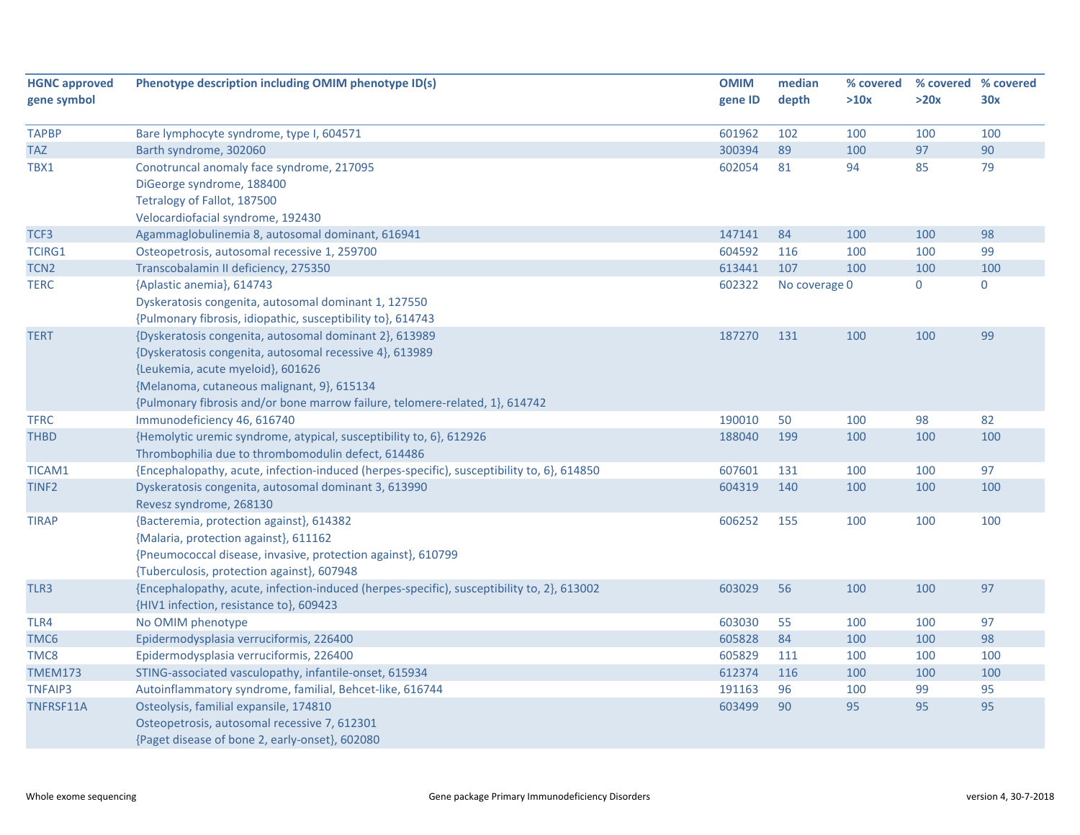| <b>HGNC approved</b> | Phenotype description including OMIM phenotype ID(s)                                       | <b>OMIM</b> | median        | % covered | % covered % covered |           |
|----------------------|--------------------------------------------------------------------------------------------|-------------|---------------|-----------|---------------------|-----------|
| gene symbol          |                                                                                            | gene ID     | depth         | >10x      | >20x                | 30x       |
|                      |                                                                                            |             |               |           |                     |           |
| <b>TAPBP</b>         | Bare lymphocyte syndrome, type I, 604571                                                   | 601962      | 102           | 100       | 100                 | 100       |
| <b>TAZ</b>           | Barth syndrome, 302060                                                                     | 300394      | 89            | 100       | 97                  | 90        |
| TBX1                 | Conotruncal anomaly face syndrome, 217095                                                  | 602054      | 81            | 94        | 85                  | 79        |
|                      | DiGeorge syndrome, 188400                                                                  |             |               |           |                     |           |
|                      | Tetralogy of Fallot, 187500                                                                |             |               |           |                     |           |
|                      | Velocardiofacial syndrome, 192430                                                          |             |               |           |                     |           |
| TCF3                 | Agammaglobulinemia 8, autosomal dominant, 616941                                           | 147141      | 84            | 100       | 100                 | 98        |
| TCIRG1               | Osteopetrosis, autosomal recessive 1, 259700                                               | 604592      | 116           | 100       | 100                 | 99        |
| TCN <sub>2</sub>     | Transcobalamin II deficiency, 275350                                                       | 613441      | 107           | 100       | 100                 | 100       |
| <b>TERC</b>          | {Aplastic anemia}, 614743                                                                  | 602322      | No coverage 0 |           | $\mathbf 0$         | $\pmb{0}$ |
|                      | Dyskeratosis congenita, autosomal dominant 1, 127550                                       |             |               |           |                     |           |
|                      | {Pulmonary fibrosis, idiopathic, susceptibility to}, 614743                                |             |               |           |                     |           |
| <b>TERT</b>          | {Dyskeratosis congenita, autosomal dominant 2}, 613989                                     | 187270      | 131           | 100       | 100                 | 99        |
|                      | {Dyskeratosis congenita, autosomal recessive 4}, 613989                                    |             |               |           |                     |           |
|                      | {Leukemia, acute myeloid}, 601626                                                          |             |               |           |                     |           |
|                      | {Melanoma, cutaneous malignant, 9}, 615134                                                 |             |               |           |                     |           |
|                      | {Pulmonary fibrosis and/or bone marrow failure, telomere-related, 1}, 614742               |             |               |           |                     |           |
| <b>TFRC</b>          | Immunodeficiency 46, 616740                                                                | 190010      | 50            | 100       | 98                  | 82        |
| <b>THBD</b>          | {Hemolytic uremic syndrome, atypical, susceptibility to, 6}, 612926                        | 188040      | 199           | 100       | 100                 | 100       |
|                      | Thrombophilia due to thrombomodulin defect, 614486                                         |             |               |           |                     |           |
| <b>TICAM1</b>        | {Encephalopathy, acute, infection-induced (herpes-specific), susceptibility to, 6}, 614850 | 607601      | 131           | 100       | 100                 | 97        |
| TINF <sub>2</sub>    | Dyskeratosis congenita, autosomal dominant 3, 613990                                       | 604319      | 140           | 100       | 100                 | 100       |
|                      | Revesz syndrome, 268130                                                                    |             |               |           |                     |           |
| <b>TIRAP</b>         | {Bacteremia, protection against}, 614382                                                   | 606252      | 155           | 100       | 100                 | 100       |
|                      | {Malaria, protection against}, 611162                                                      |             |               |           |                     |           |
|                      | {Pneumococcal disease, invasive, protection against}, 610799                               |             |               |           |                     |           |
|                      | {Tuberculosis, protection against}, 607948                                                 |             |               |           |                     |           |
| TLR3                 | {Encephalopathy, acute, infection-induced (herpes-specific), susceptibility to, 2}, 613002 | 603029      | 56            | 100       | 100                 | 97        |
|                      | {HIV1 infection, resistance to}, 609423                                                    |             |               |           |                     |           |
| TLR4                 | No OMIM phenotype                                                                          | 603030      | 55            | 100       | 100                 | 97        |
| TMC6                 | Epidermodysplasia verruciformis, 226400                                                    | 605828      | 84            | 100       | 100                 | 98        |
| TMC8                 | Epidermodysplasia verruciformis, 226400                                                    | 605829      | 111           | 100       | 100                 | 100       |
| <b>TMEM173</b>       | STING-associated vasculopathy, infantile-onset, 615934                                     | 612374      | 116           | 100       | 100                 | 100       |
| <b>TNFAIP3</b>       | Autoinflammatory syndrome, familial, Behcet-like, 616744                                   | 191163      | 96            | 100       | 99                  | 95        |
| TNFRSF11A            | Osteolysis, familial expansile, 174810                                                     | 603499      | 90            | 95        | 95                  | 95        |
|                      | Osteopetrosis, autosomal recessive 7, 612301                                               |             |               |           |                     |           |
|                      | {Paget disease of bone 2, early-onset}, 602080                                             |             |               |           |                     |           |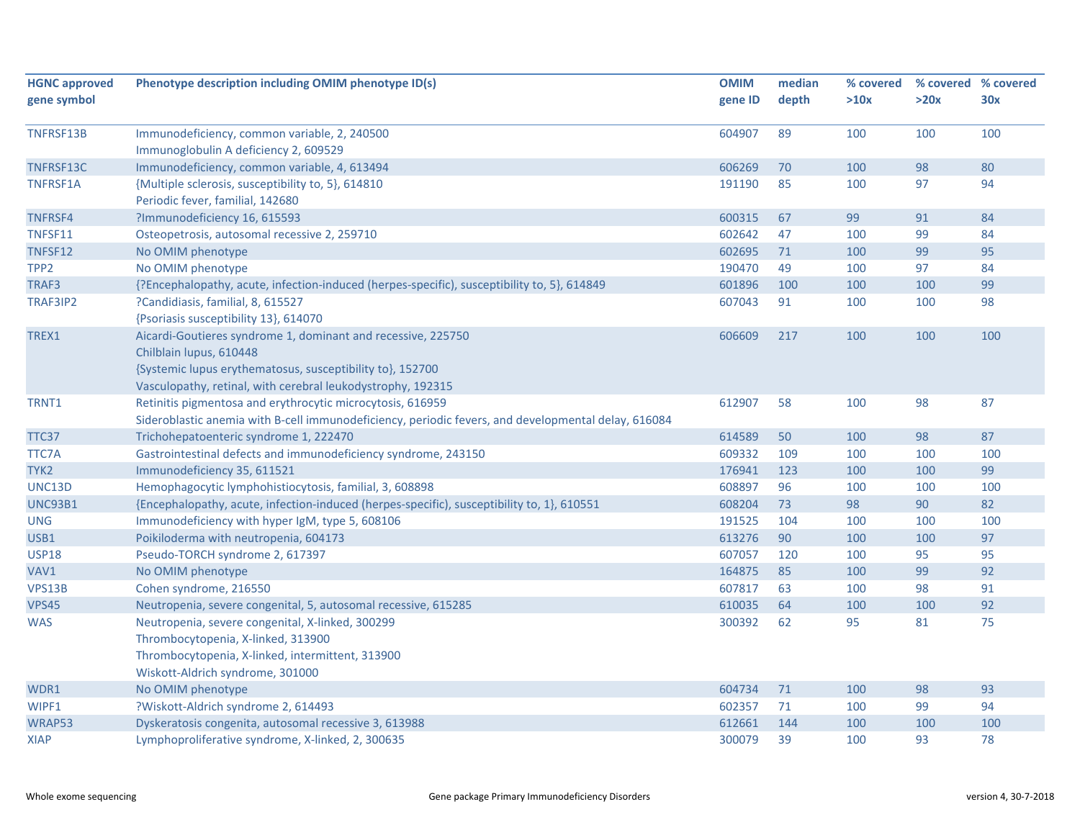| <b>HGNC approved</b> | Phenotype description including OMIM phenotype ID(s)                                                | <b>OMIM</b> | median | % covered | % covered % covered |     |
|----------------------|-----------------------------------------------------------------------------------------------------|-------------|--------|-----------|---------------------|-----|
| gene symbol          |                                                                                                     | gene ID     | depth  | >10x      | >20x                | 30x |
|                      |                                                                                                     |             |        |           |                     |     |
| TNFRSF13B            | Immunodeficiency, common variable, 2, 240500                                                        | 604907      | 89     | 100       | 100                 | 100 |
|                      | Immunoglobulin A deficiency 2, 609529                                                               |             |        |           |                     |     |
| TNFRSF13C            | Immunodeficiency, common variable, 4, 613494                                                        | 606269      | 70     | 100       | 98                  | 80  |
| <b>TNFRSF1A</b>      | {Multiple sclerosis, susceptibility to, 5}, 614810                                                  | 191190      | 85     | 100       | 97                  | 94  |
|                      | Periodic fever, familial, 142680                                                                    |             |        |           |                     |     |
| <b>TNFRSF4</b>       | ?Immunodeficiency 16, 615593                                                                        | 600315      | 67     | 99        | 91                  | 84  |
| TNFSF11              | Osteopetrosis, autosomal recessive 2, 259710                                                        | 602642      | 47     | 100       | 99                  | 84  |
| TNFSF12              | No OMIM phenotype                                                                                   | 602695      | 71     | 100       | 99                  | 95  |
| TPP <sub>2</sub>     | No OMIM phenotype                                                                                   | 190470      | 49     | 100       | 97                  | 84  |
| TRAF3                | {?Encephalopathy, acute, infection-induced (herpes-specific), susceptibility to, 5}, 614849         | 601896      | 100    | 100       | 100                 | 99  |
| TRAF3IP2             | ?Candidiasis, familial, 8, 615527                                                                   | 607043      | 91     | 100       | 100                 | 98  |
|                      | {Psoriasis susceptibility 13}, 614070                                                               |             |        |           |                     |     |
| TREX1                | Aicardi-Goutieres syndrome 1, dominant and recessive, 225750                                        | 606609      | 217    | 100       | 100                 | 100 |
|                      | Chilblain lupus, 610448                                                                             |             |        |           |                     |     |
|                      | {Systemic lupus erythematosus, susceptibility to}, 152700                                           |             |        |           |                     |     |
|                      | Vasculopathy, retinal, with cerebral leukodystrophy, 192315                                         |             |        |           |                     |     |
| TRNT1                | Retinitis pigmentosa and erythrocytic microcytosis, 616959                                          | 612907      | 58     | 100       | 98                  | 87  |
|                      | Sideroblastic anemia with B-cell immunodeficiency, periodic fevers, and developmental delay, 616084 |             |        |           |                     |     |
| TTC37                | Trichohepatoenteric syndrome 1, 222470                                                              | 614589      | 50     | 100       | 98                  | 87  |
| TTC7A                | Gastrointestinal defects and immunodeficiency syndrome, 243150                                      | 609332      | 109    | 100       | 100                 | 100 |
| TYK <sub>2</sub>     | Immunodeficiency 35, 611521                                                                         | 176941      | 123    | 100       | 100                 | 99  |
| UNC13D               | Hemophagocytic lymphohistiocytosis, familial, 3, 608898                                             | 608897      | 96     | 100       | 100                 | 100 |
| <b>UNC93B1</b>       | {Encephalopathy, acute, infection-induced (herpes-specific), susceptibility to, 1}, 610551          | 608204      | 73     | 98        | 90                  | 82  |
| <b>UNG</b>           | Immunodeficiency with hyper IgM, type 5, 608106                                                     | 191525      | 104    | 100       | 100                 | 100 |
| USB1                 | Poikiloderma with neutropenia, 604173                                                               | 613276      | 90     | 100       | 100                 | 97  |
| <b>USP18</b>         | Pseudo-TORCH syndrome 2, 617397                                                                     | 607057      | 120    | 100       | 95                  | 95  |
| VAV1                 | No OMIM phenotype                                                                                   | 164875      | 85     | 100       | 99                  | 92  |
| <b>VPS13B</b>        | Cohen syndrome, 216550                                                                              | 607817      | 63     | 100       | 98                  | 91  |
| <b>VPS45</b>         | Neutropenia, severe congenital, 5, autosomal recessive, 615285                                      | 610035      | 64     | 100       | 100                 | 92  |
| <b>WAS</b>           | Neutropenia, severe congenital, X-linked, 300299                                                    | 300392      | 62     | 95        | 81                  | 75  |
|                      | Thrombocytopenia, X-linked, 313900                                                                  |             |        |           |                     |     |
|                      | Thrombocytopenia, X-linked, intermittent, 313900                                                    |             |        |           |                     |     |
|                      | Wiskott-Aldrich syndrome, 301000                                                                    |             |        |           |                     |     |
| WDR1                 | No OMIM phenotype                                                                                   | 604734      | 71     | 100       | 98                  | 93  |
| WIPF1                | ?Wiskott-Aldrich syndrome 2, 614493                                                                 | 602357      | 71     | 100       | 99                  | 94  |
| WRAP53               | Dyskeratosis congenita, autosomal recessive 3, 613988                                               | 612661      | 144    | 100       | 100                 | 100 |
| <b>XIAP</b>          | Lymphoproliferative syndrome, X-linked, 2, 300635                                                   | 300079      | 39     | 100       | 93                  | 78  |